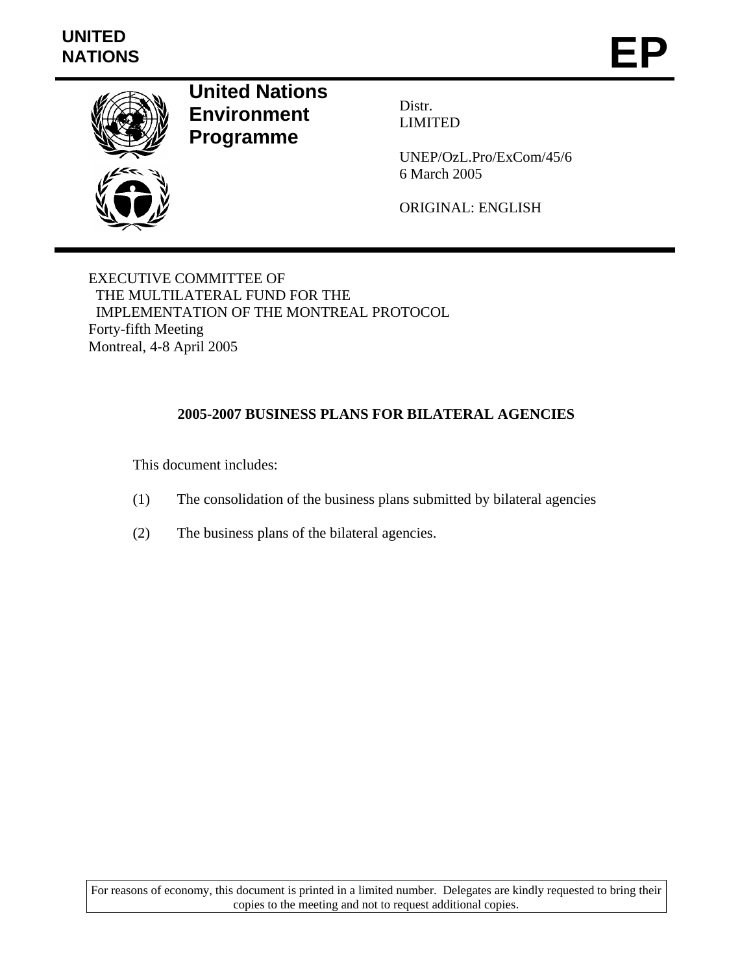# **UNITED**  UNITED<br>NATIONS **EP**



**United Nations Environment Programme** 

Distr. LIMITED

UNEP/OzL.Pro/ExCom/45/6 6 March 2005

ORIGINAL: ENGLISH

EXECUTIVE COMMITTEE OF THE MULTILATERAL FUND FOR THE IMPLEMENTATION OF THE MONTREAL PROTOCOL Forty-fifth Meeting Montreal, 4-8 April 2005

# **2005-2007 BUSINESS PLANS FOR BILATERAL AGENCIES**

This document includes:

- (1) The consolidation of the business plans submitted by bilateral agencies
- (2) The business plans of the bilateral agencies.

For reasons of economy, this document is printed in a limited number. Delegates are kindly requested to bring their copies to the meeting and not to request additional copies.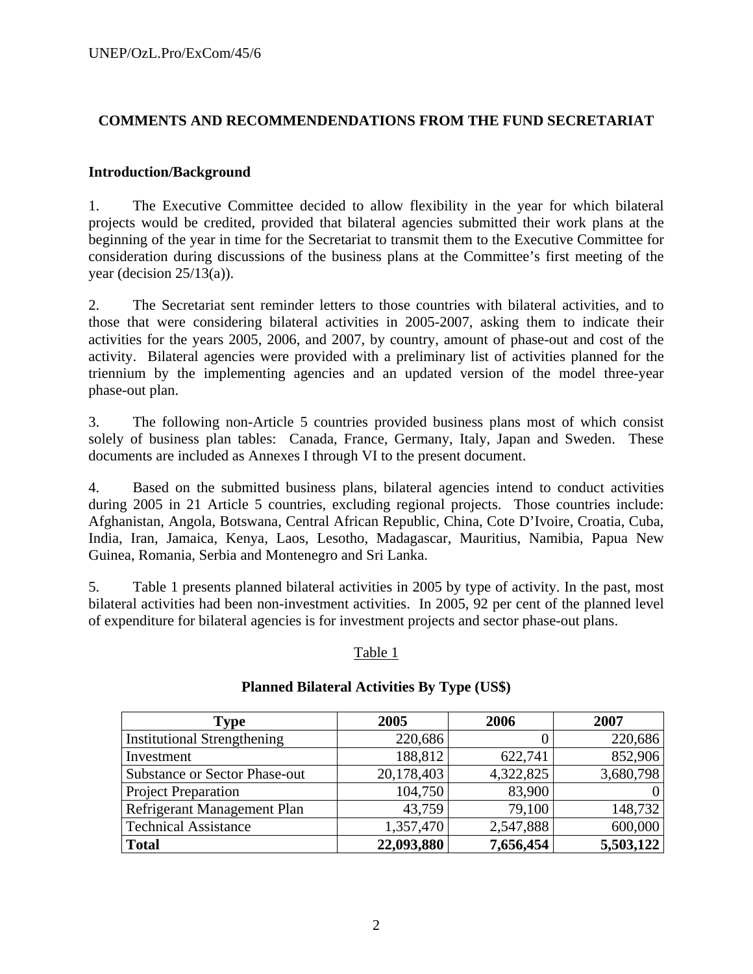# **COMMENTS AND RECOMMENDENDATIONS FROM THE FUND SECRETARIAT**

### **Introduction/Background**

1. The Executive Committee decided to allow flexibility in the year for which bilateral projects would be credited, provided that bilateral agencies submitted their work plans at the beginning of the year in time for the Secretariat to transmit them to the Executive Committee for consideration during discussions of the business plans at the Committee's first meeting of the year (decision  $25/13(a)$ ).

2. The Secretariat sent reminder letters to those countries with bilateral activities, and to those that were considering bilateral activities in 2005-2007, asking them to indicate their activities for the years 2005, 2006, and 2007, by country, amount of phase-out and cost of the activity. Bilateral agencies were provided with a preliminary list of activities planned for the triennium by the implementing agencies and an updated version of the model three-year phase-out plan.

3. The following non-Article 5 countries provided business plans most of which consist solely of business plan tables: Canada, France, Germany, Italy, Japan and Sweden. These documents are included as Annexes I through VI to the present document.

4. Based on the submitted business plans, bilateral agencies intend to conduct activities during 2005 in 21 Article 5 countries, excluding regional projects. Those countries include: Afghanistan, Angola, Botswana, Central African Republic, China, Cote D'Ivoire, Croatia, Cuba, India, Iran, Jamaica, Kenya, Laos, Lesotho, Madagascar, Mauritius, Namibia, Papua New Guinea, Romania, Serbia and Montenegro and Sri Lanka.

5. Table 1 presents planned bilateral activities in 2005 by type of activity. In the past, most bilateral activities had been non-investment activities. In 2005, 92 per cent of the planned level of expenditure for bilateral agencies is for investment projects and sector phase-out plans.

#### Table 1

| <b>Type</b>                          | 2005       | 2006      | 2007      |
|--------------------------------------|------------|-----------|-----------|
| <b>Institutional Strengthening</b>   | 220,686    | 0         | 220,686   |
| Investment                           | 188,812    | 622,741   | 852,906   |
| <b>Substance or Sector Phase-out</b> | 20,178,403 | 4,322,825 | 3,680,798 |
| <b>Project Preparation</b>           | 104,750    | 83,900    |           |
| Refrigerant Management Plan          | 43,759     | 79,100    | 148,732   |
| <b>Technical Assistance</b>          | 1,357,470  | 2,547,888 | 600,000   |
| <b>Total</b>                         | 22,093,880 | 7,656,454 | 5,503,122 |

# **Planned Bilateral Activities By Type (US\$)**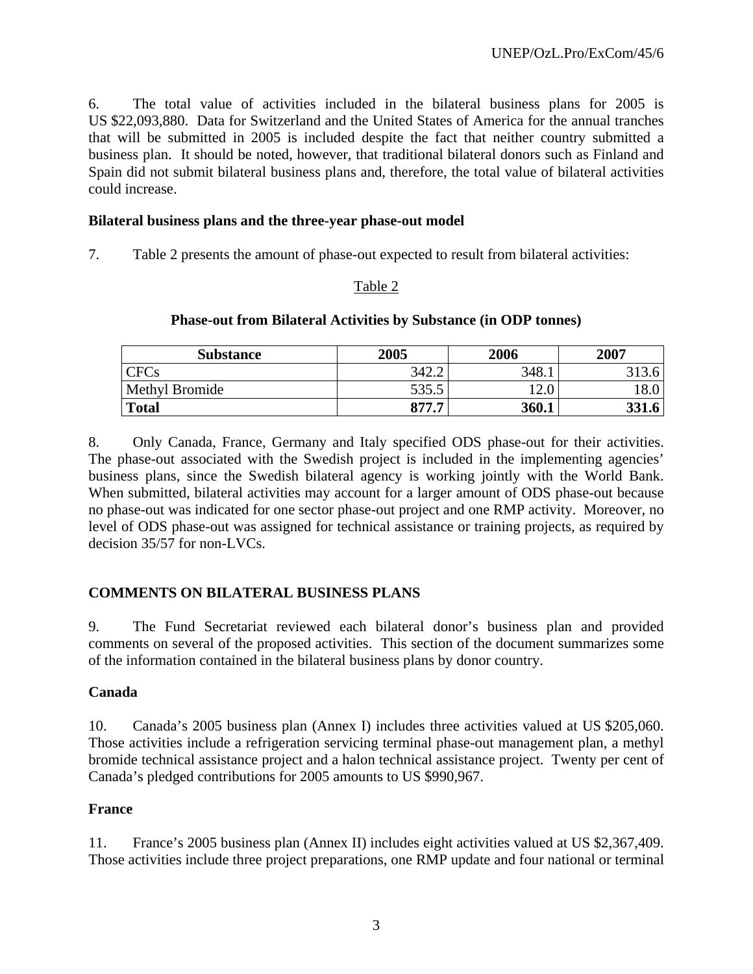6. The total value of activities included in the bilateral business plans for 2005 is US \$22,093,880. Data for Switzerland and the United States of America for the annual tranches that will be submitted in 2005 is included despite the fact that neither country submitted a business plan. It should be noted, however, that traditional bilateral donors such as Finland and Spain did not submit bilateral business plans and, therefore, the total value of bilateral activities could increase.

# **Bilateral business plans and the three-year phase-out model**

7. Table 2 presents the amount of phase-out expected to result from bilateral activities:

# Table 2

# **Phase-out from Bilateral Activities by Substance (in ODP tonnes)**

| <b>Substance</b> | 2005  | 2006  | 2007 |
|------------------|-------|-------|------|
| CFCs             | 342.2 | 348.1 | 212  |
| Methyl Bromide   | 535.5 | 12.0  | 18.0 |
| <b>Total</b>     | 877.7 | 360.1 | 221  |

8. Only Canada, France, Germany and Italy specified ODS phase-out for their activities. The phase-out associated with the Swedish project is included in the implementing agencies' business plans, since the Swedish bilateral agency is working jointly with the World Bank. When submitted, bilateral activities may account for a larger amount of ODS phase-out because no phase-out was indicated for one sector phase-out project and one RMP activity. Moreover, no level of ODS phase-out was assigned for technical assistance or training projects, as required by decision 35/57 for non-LVCs.

# **COMMENTS ON BILATERAL BUSINESS PLANS**

9. The Fund Secretariat reviewed each bilateral donor's business plan and provided comments on several of the proposed activities. This section of the document summarizes some of the information contained in the bilateral business plans by donor country.

# **Canada**

10. Canada's 2005 business plan (Annex I) includes three activities valued at US \$205,060. Those activities include a refrigeration servicing terminal phase-out management plan, a methyl bromide technical assistance project and a halon technical assistance project. Twenty per cent of Canada's pledged contributions for 2005 amounts to US \$990,967.

# **France**

11. France's 2005 business plan (Annex II) includes eight activities valued at US \$2,367,409. Those activities include three project preparations, one RMP update and four national or terminal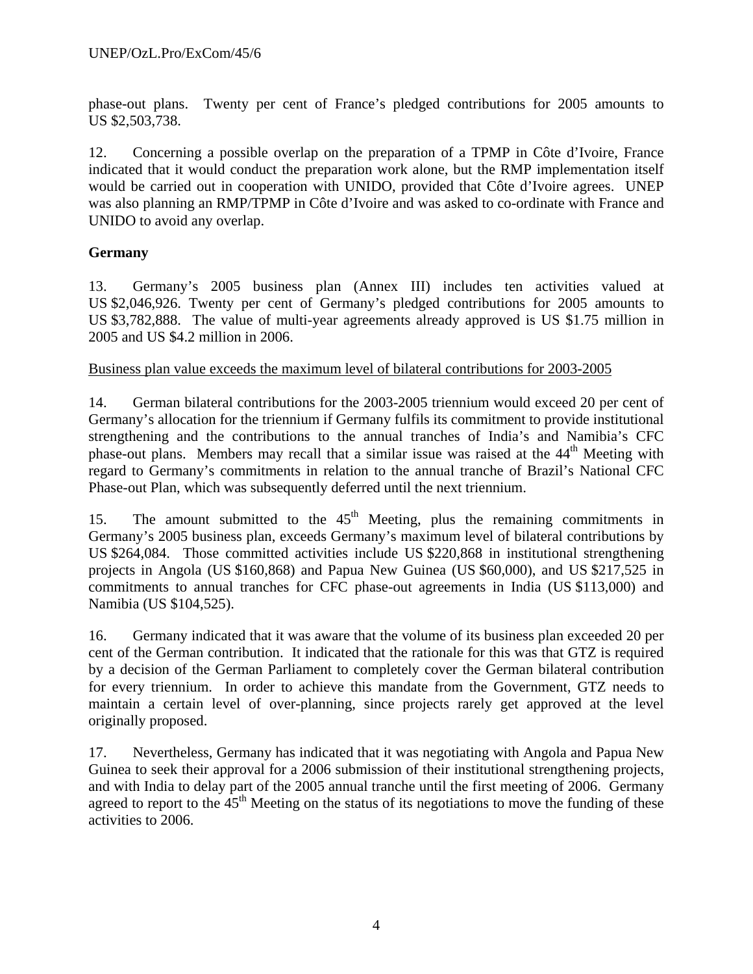phase-out plans. Twenty per cent of France's pledged contributions for 2005 amounts to US \$2,503,738.

12. Concerning a possible overlap on the preparation of a TPMP in Côte d'Ivoire, France indicated that it would conduct the preparation work alone, but the RMP implementation itself would be carried out in cooperation with UNIDO, provided that Côte d'Ivoire agrees. UNEP was also planning an RMP/TPMP in Côte d'Ivoire and was asked to co-ordinate with France and UNIDO to avoid any overlap.

# **Germany**

13. Germany's 2005 business plan (Annex III) includes ten activities valued at US \$2,046,926. Twenty per cent of Germany's pledged contributions for 2005 amounts to US \$3,782,888. The value of multi-year agreements already approved is US \$1.75 million in 2005 and US \$4.2 million in 2006.

# Business plan value exceeds the maximum level of bilateral contributions for 2003-2005

14. German bilateral contributions for the 2003-2005 triennium would exceed 20 per cent of Germany's allocation for the triennium if Germany fulfils its commitment to provide institutional strengthening and the contributions to the annual tranches of India's and Namibia's CFC phase-out plans. Members may recall that a similar issue was raised at the  $44<sup>th</sup>$  Meeting with regard to Germany's commitments in relation to the annual tranche of Brazil's National CFC Phase-out Plan, which was subsequently deferred until the next triennium.

15. The amount submitted to the  $45<sup>th</sup>$  Meeting, plus the remaining commitments in Germany's 2005 business plan, exceeds Germany's maximum level of bilateral contributions by US \$264,084. Those committed activities include US \$220,868 in institutional strengthening projects in Angola (US \$160,868) and Papua New Guinea (US \$60,000), and US \$217,525 in commitments to annual tranches for CFC phase-out agreements in India (US \$113,000) and Namibia (US \$104,525).

16. Germany indicated that it was aware that the volume of its business plan exceeded 20 per cent of the German contribution. It indicated that the rationale for this was that GTZ is required by a decision of the German Parliament to completely cover the German bilateral contribution for every triennium. In order to achieve this mandate from the Government, GTZ needs to maintain a certain level of over-planning, since projects rarely get approved at the level originally proposed.

17. Nevertheless, Germany has indicated that it was negotiating with Angola and Papua New Guinea to seek their approval for a 2006 submission of their institutional strengthening projects, and with India to delay part of the 2005 annual tranche until the first meeting of 2006. Germany agreed to report to the  $45<sup>th</sup>$  Meeting on the status of its negotiations to move the funding of these activities to 2006.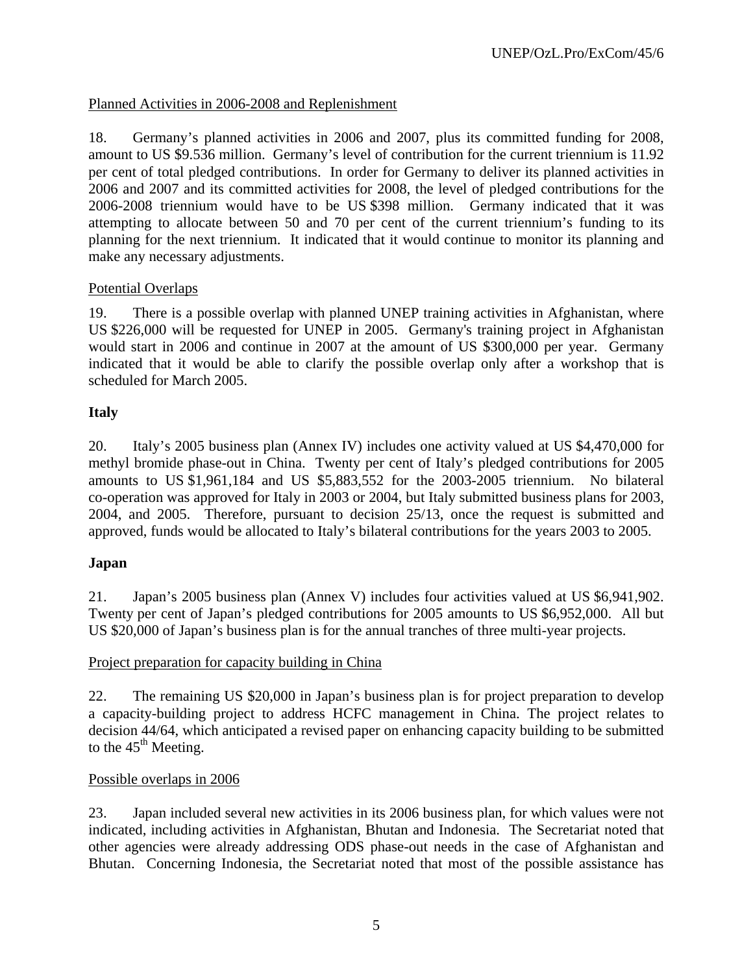# Planned Activities in 2006-2008 and Replenishment

18. Germany's planned activities in 2006 and 2007, plus its committed funding for 2008, amount to US \$9.536 million. Germany's level of contribution for the current triennium is 11.92 per cent of total pledged contributions. In order for Germany to deliver its planned activities in 2006 and 2007 and its committed activities for 2008, the level of pledged contributions for the 2006-2008 triennium would have to be US \$398 million. Germany indicated that it was attempting to allocate between 50 and 70 per cent of the current triennium's funding to its planning for the next triennium. It indicated that it would continue to monitor its planning and make any necessary adjustments.

# Potential Overlaps

19. There is a possible overlap with planned UNEP training activities in Afghanistan, where US \$226,000 will be requested for UNEP in 2005. Germany's training project in Afghanistan would start in 2006 and continue in 2007 at the amount of US \$300,000 per year. Germany indicated that it would be able to clarify the possible overlap only after a workshop that is scheduled for March 2005.

# **Italy**

20. Italy's 2005 business plan (Annex IV) includes one activity valued at US \$4,470,000 for methyl bromide phase-out in China. Twenty per cent of Italy's pledged contributions for 2005 amounts to US \$1,961,184 and US \$5,883,552 for the 2003-2005 triennium. No bilateral co-operation was approved for Italy in 2003 or 2004, but Italy submitted business plans for 2003, 2004, and 2005. Therefore, pursuant to decision 25/13, once the request is submitted and approved, funds would be allocated to Italy's bilateral contributions for the years 2003 to 2005.

# **Japan**

21. Japan's 2005 business plan (Annex V) includes four activities valued at US \$6,941,902. Twenty per cent of Japan's pledged contributions for 2005 amounts to US \$6,952,000. All but US \$20,000 of Japan's business plan is for the annual tranches of three multi-year projects.

# Project preparation for capacity building in China

22. The remaining US \$20,000 in Japan's business plan is for project preparation to develop a capacity-building project to address HCFC management in China. The project relates to decision 44/64, which anticipated a revised paper on enhancing capacity building to be submitted to the  $45<sup>th</sup>$  Meeting.

#### Possible overlaps in 2006

23. Japan included several new activities in its 2006 business plan, for which values were not indicated, including activities in Afghanistan, Bhutan and Indonesia. The Secretariat noted that other agencies were already addressing ODS phase-out needs in the case of Afghanistan and Bhutan. Concerning Indonesia, the Secretariat noted that most of the possible assistance has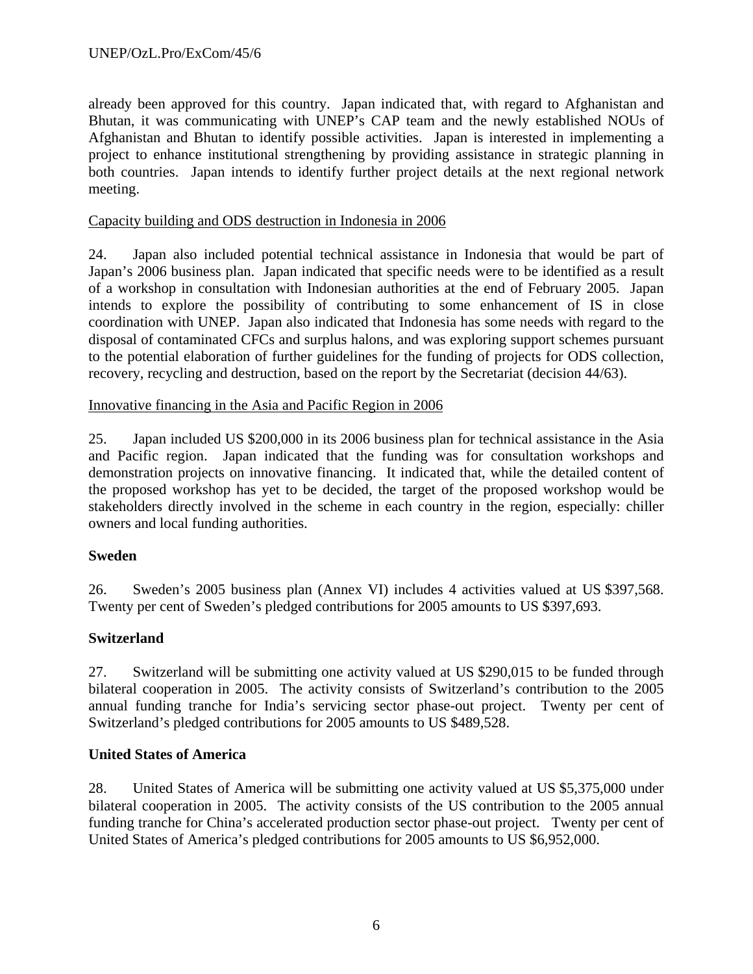already been approved for this country. Japan indicated that, with regard to Afghanistan and Bhutan, it was communicating with UNEP's CAP team and the newly established NOUs of Afghanistan and Bhutan to identify possible activities. Japan is interested in implementing a project to enhance institutional strengthening by providing assistance in strategic planning in both countries. Japan intends to identify further project details at the next regional network meeting.

# Capacity building and ODS destruction in Indonesia in 2006

24. Japan also included potential technical assistance in Indonesia that would be part of Japan's 2006 business plan. Japan indicated that specific needs were to be identified as a result of a workshop in consultation with Indonesian authorities at the end of February 2005. Japan intends to explore the possibility of contributing to some enhancement of IS in close coordination with UNEP. Japan also indicated that Indonesia has some needs with regard to the disposal of contaminated CFCs and surplus halons, and was exploring support schemes pursuant to the potential elaboration of further guidelines for the funding of projects for ODS collection, recovery, recycling and destruction, based on the report by the Secretariat (decision 44/63).

# Innovative financing in the Asia and Pacific Region in 2006

25. Japan included US \$200,000 in its 2006 business plan for technical assistance in the Asia and Pacific region. Japan indicated that the funding was for consultation workshops and demonstration projects on innovative financing. It indicated that, while the detailed content of the proposed workshop has yet to be decided, the target of the proposed workshop would be stakeholders directly involved in the scheme in each country in the region, especially: chiller owners and local funding authorities.

# **Sweden**

26. Sweden's 2005 business plan (Annex VI) includes 4 activities valued at US \$397,568. Twenty per cent of Sweden's pledged contributions for 2005 amounts to US \$397,693.

# **Switzerland**

27. Switzerland will be submitting one activity valued at US \$290,015 to be funded through bilateral cooperation in 2005. The activity consists of Switzerland's contribution to the 2005 annual funding tranche for India's servicing sector phase-out project. Twenty per cent of Switzerland's pledged contributions for 2005 amounts to US \$489,528.

# **United States of America**

28. United States of America will be submitting one activity valued at US \$5,375,000 under bilateral cooperation in 2005. The activity consists of the US contribution to the 2005 annual funding tranche for China's accelerated production sector phase-out project. Twenty per cent of United States of America's pledged contributions for 2005 amounts to US \$6,952,000.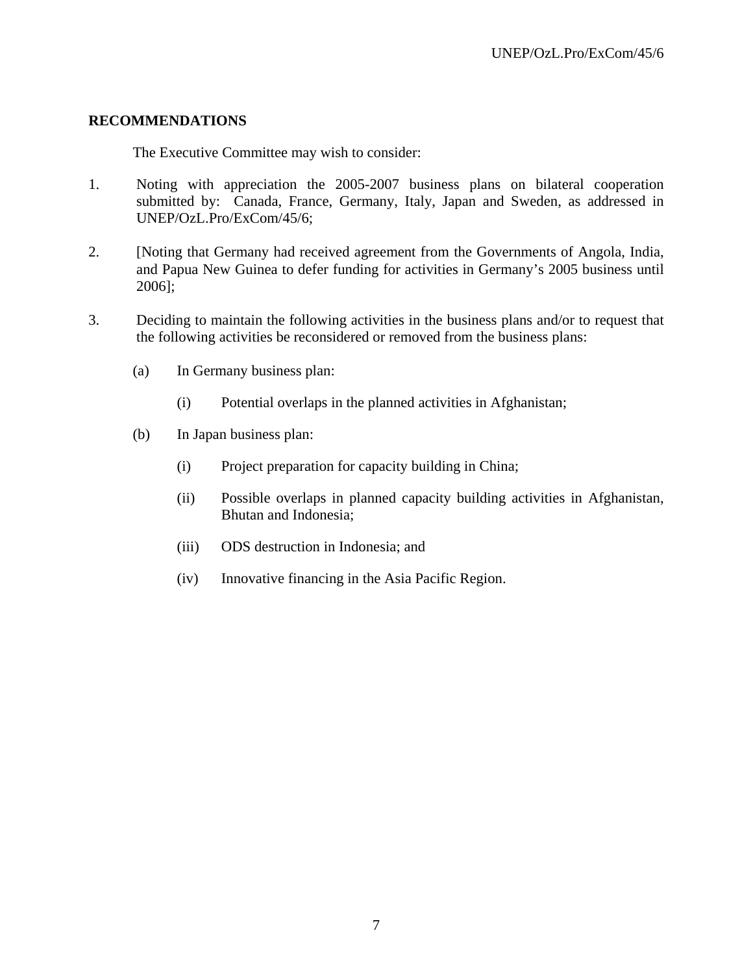#### **RECOMMENDATIONS**

The Executive Committee may wish to consider:

- 1. Noting with appreciation the 2005-2007 business plans on bilateral cooperation submitted by: Canada, France, Germany, Italy, Japan and Sweden, as addressed in UNEP/OzL.Pro/ExCom/45/6;
- 2. [Noting that Germany had received agreement from the Governments of Angola, India, and Papua New Guinea to defer funding for activities in Germany's 2005 business until 2006];
- 3. Deciding to maintain the following activities in the business plans and/or to request that the following activities be reconsidered or removed from the business plans:
	- (a) In Germany business plan:
		- (i) Potential overlaps in the planned activities in Afghanistan;
	- (b) In Japan business plan:
		- (i) Project preparation for capacity building in China;
		- (ii) Possible overlaps in planned capacity building activities in Afghanistan, Bhutan and Indonesia;
		- (iii) ODS destruction in Indonesia; and
		- (iv) Innovative financing in the Asia Pacific Region.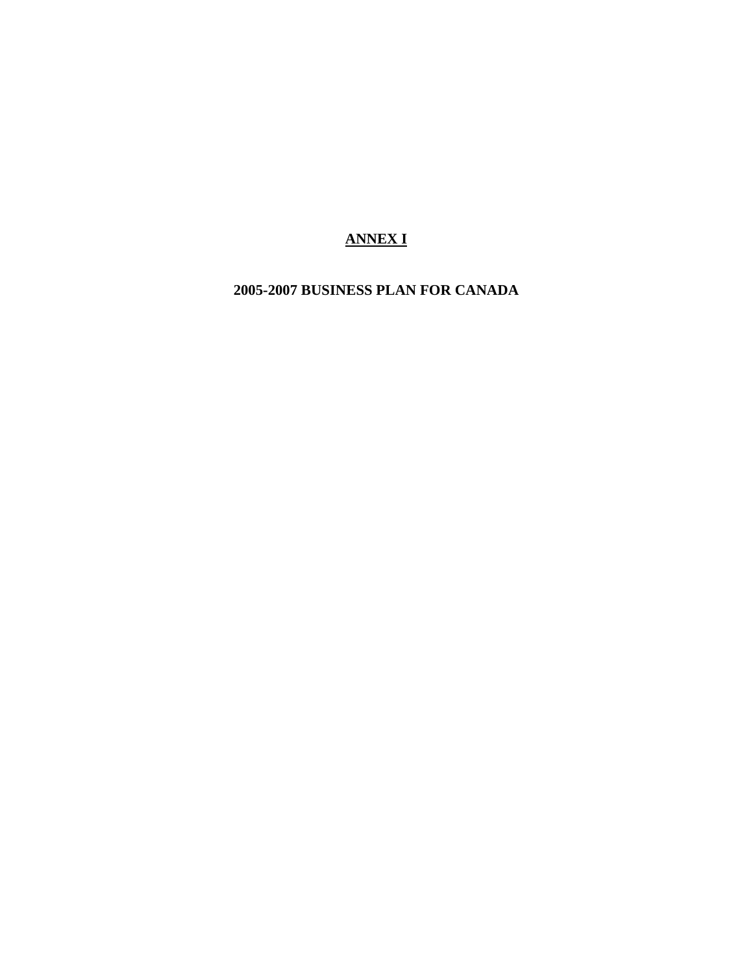# **ANNEX I**

**2005-2007 BUSINESS PLAN FOR CANADA**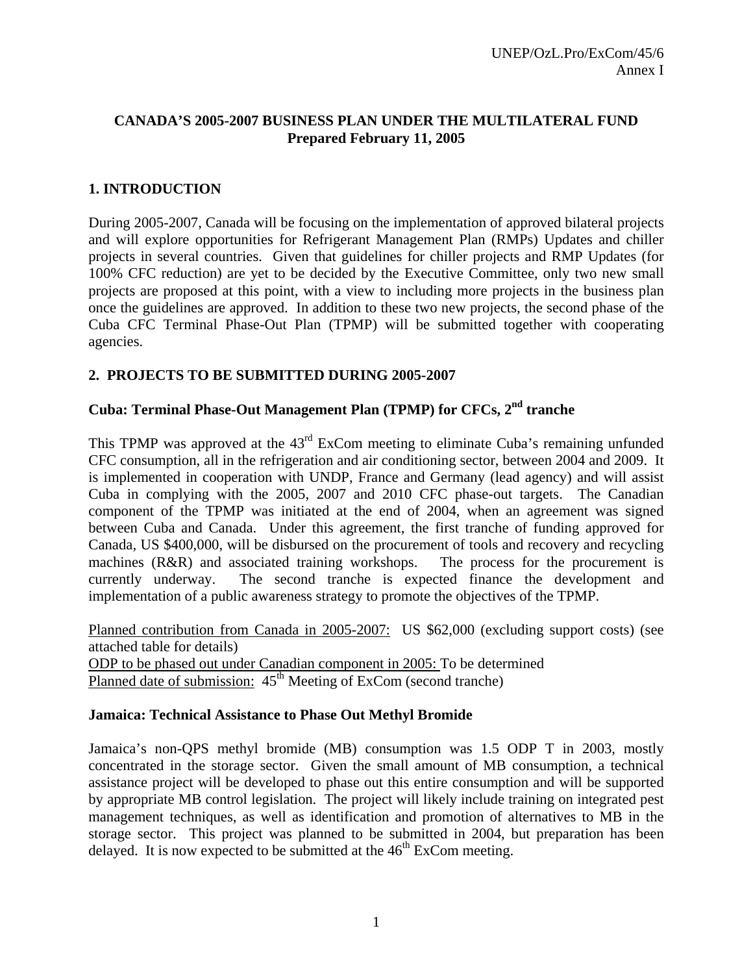# **CANADA'S 2005-2007 BUSINESS PLAN UNDER THE MULTILATERAL FUND Prepared February 11, 2005**

# **1. INTRODUCTION**

During 2005-2007, Canada will be focusing on the implementation of approved bilateral projects and will explore opportunities for Refrigerant Management Plan (RMPs) Updates and chiller projects in several countries. Given that guidelines for chiller projects and RMP Updates (for 100% CFC reduction) are yet to be decided by the Executive Committee, only two new small projects are proposed at this point, with a view to including more projects in the business plan once the guidelines are approved. In addition to these two new projects, the second phase of the Cuba CFC Terminal Phase-Out Plan (TPMP) will be submitted together with cooperating agencies.

# **2. PROJECTS TO BE SUBMITTED DURING 2005-2007**

# **Cuba: Terminal Phase-Out Management Plan (TPMP) for CFCs, 2nd tranche**

This TPMP was approved at the  $43<sup>rd</sup>$  ExCom meeting to eliminate Cuba's remaining unfunded CFC consumption, all in the refrigeration and air conditioning sector, between 2004 and 2009. It is implemented in cooperation with UNDP, France and Germany (lead agency) and will assist Cuba in complying with the 2005, 2007 and 2010 CFC phase-out targets. The Canadian component of the TPMP was initiated at the end of 2004, when an agreement was signed between Cuba and Canada. Under this agreement, the first tranche of funding approved for Canada, US \$400,000, will be disbursed on the procurement of tools and recovery and recycling machines (R&R) and associated training workshops. The process for the procurement is currently underway. The second tranche is expected finance the development and implementation of a public awareness strategy to promote the objectives of the TPMP.

Planned contribution from Canada in 2005-2007: US \$62,000 (excluding support costs) (see attached table for details) ODP to be phased out under Canadian component in 2005: To be determined Planned date of submission:  $45<sup>th</sup>$  Meeting of ExCom (second tranche)

# **Jamaica: Technical Assistance to Phase Out Methyl Bromide**

Jamaica's non-QPS methyl bromide (MB) consumption was 1.5 ODP T in 2003, mostly concentrated in the storage sector. Given the small amount of MB consumption, a technical assistance project will be developed to phase out this entire consumption and will be supported by appropriate MB control legislation. The project will likely include training on integrated pest management techniques, as well as identification and promotion of alternatives to MB in the storage sector. This project was planned to be submitted in 2004, but preparation has been delayed. It is now expected to be submitted at the  $46<sup>th</sup>$  ExCom meeting.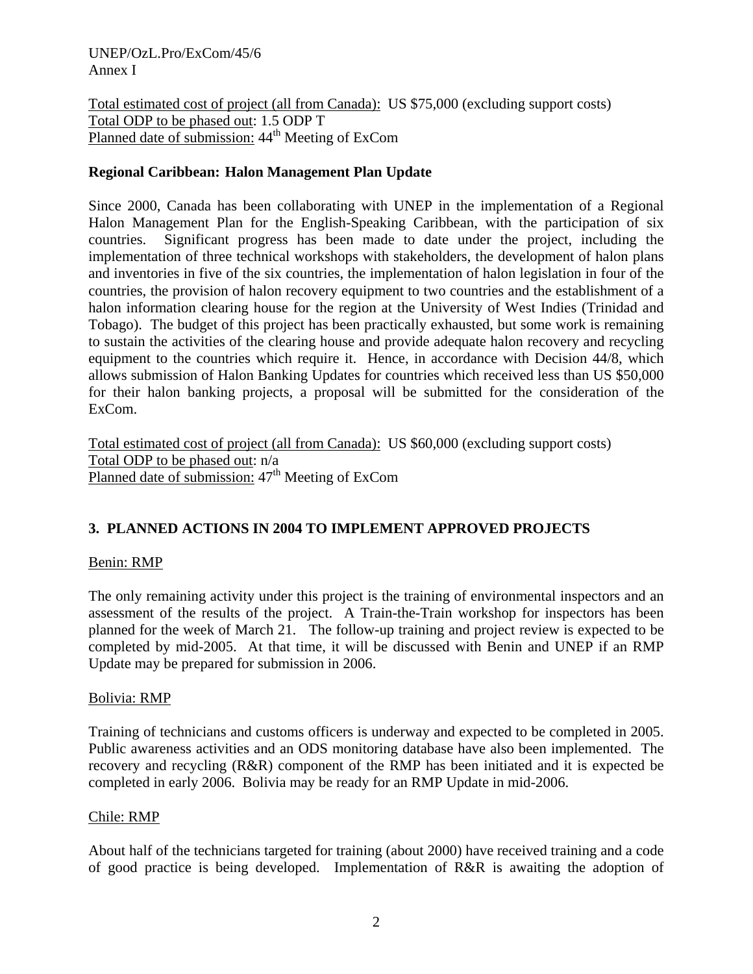UNEP/OzL.Pro/ExCom/45/6 Annex I

Total estimated cost of project (all from Canada): US \$75,000 (excluding support costs) Total ODP to be phased out: 1.5 ODP T Planned date of submission: 44<sup>th</sup> Meeting of ExCom

### **Regional Caribbean: Halon Management Plan Update**

Since 2000, Canada has been collaborating with UNEP in the implementation of a Regional Halon Management Plan for the English-Speaking Caribbean, with the participation of six countries. Significant progress has been made to date under the project, including the implementation of three technical workshops with stakeholders, the development of halon plans and inventories in five of the six countries, the implementation of halon legislation in four of the countries, the provision of halon recovery equipment to two countries and the establishment of a halon information clearing house for the region at the University of West Indies (Trinidad and Tobago). The budget of this project has been practically exhausted, but some work is remaining to sustain the activities of the clearing house and provide adequate halon recovery and recycling equipment to the countries which require it. Hence, in accordance with Decision 44/8, which allows submission of Halon Banking Updates for countries which received less than US \$50,000 for their halon banking projects, a proposal will be submitted for the consideration of the ExCom.

Total estimated cost of project (all from Canada): US \$60,000 (excluding support costs) Total ODP to be phased out: n/a Planned date of submission:  $47<sup>th</sup>$  Meeting of ExCom

# **3. PLANNED ACTIONS IN 2004 TO IMPLEMENT APPROVED PROJECTS**

#### Benin: RMP

The only remaining activity under this project is the training of environmental inspectors and an assessment of the results of the project. A Train-the-Train workshop for inspectors has been planned for the week of March 21. The follow-up training and project review is expected to be completed by mid-2005. At that time, it will be discussed with Benin and UNEP if an RMP Update may be prepared for submission in 2006.

#### Bolivia: RMP

Training of technicians and customs officers is underway and expected to be completed in 2005. Public awareness activities and an ODS monitoring database have also been implemented. The recovery and recycling (R&R) component of the RMP has been initiated and it is expected be completed in early 2006. Bolivia may be ready for an RMP Update in mid-2006.

#### Chile: RMP

About half of the technicians targeted for training (about 2000) have received training and a code of good practice is being developed. Implementation of R&R is awaiting the adoption of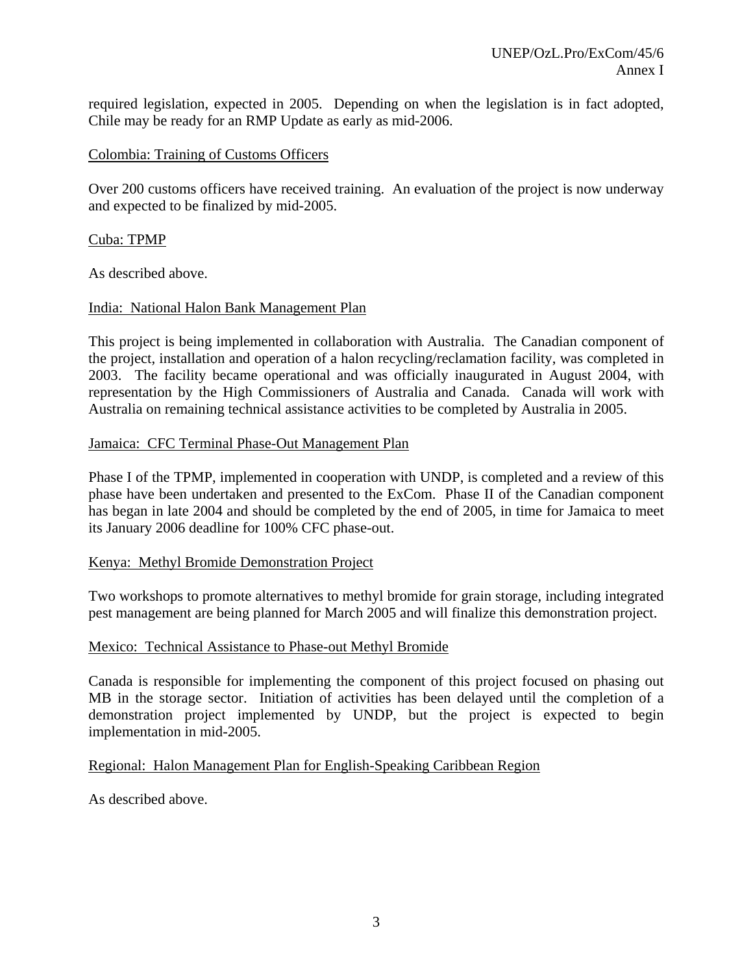required legislation, expected in 2005. Depending on when the legislation is in fact adopted, Chile may be ready for an RMP Update as early as mid-2006.

#### Colombia: Training of Customs Officers

Over 200 customs officers have received training. An evaluation of the project is now underway and expected to be finalized by mid-2005.

#### Cuba: TPMP

As described above.

#### India: National Halon Bank Management Plan

This project is being implemented in collaboration with Australia. The Canadian component of the project, installation and operation of a halon recycling/reclamation facility, was completed in 2003. The facility became operational and was officially inaugurated in August 2004, with representation by the High Commissioners of Australia and Canada. Canada will work with Australia on remaining technical assistance activities to be completed by Australia in 2005.

#### Jamaica: CFC Terminal Phase-Out Management Plan

Phase I of the TPMP, implemented in cooperation with UNDP, is completed and a review of this phase have been undertaken and presented to the ExCom. Phase II of the Canadian component has began in late 2004 and should be completed by the end of 2005, in time for Jamaica to meet its January 2006 deadline for 100% CFC phase-out.

#### Kenya: Methyl Bromide Demonstration Project

Two workshops to promote alternatives to methyl bromide for grain storage, including integrated pest management are being planned for March 2005 and will finalize this demonstration project.

#### Mexico: Technical Assistance to Phase-out Methyl Bromide

Canada is responsible for implementing the component of this project focused on phasing out MB in the storage sector. Initiation of activities has been delayed until the completion of a demonstration project implemented by UNDP, but the project is expected to begin implementation in mid-2005.

#### Regional: Halon Management Plan for English-Speaking Caribbean Region

As described above.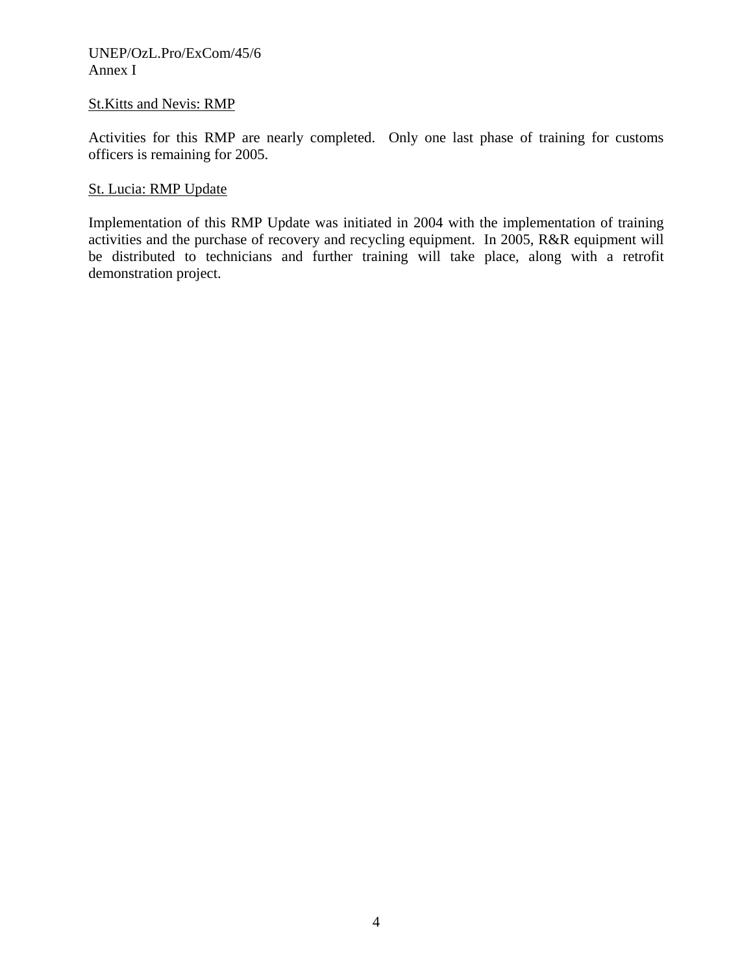#### UNEP/OzL.Pro/ExCom/45/6 Annex I

### St.Kitts and Nevis: RMP

Activities for this RMP are nearly completed. Only one last phase of training for customs officers is remaining for 2005.

### St. Lucia: RMP Update

Implementation of this RMP Update was initiated in 2004 with the implementation of training activities and the purchase of recovery and recycling equipment. In 2005, R&R equipment will be distributed to technicians and further training will take place, along with a retrofit demonstration project.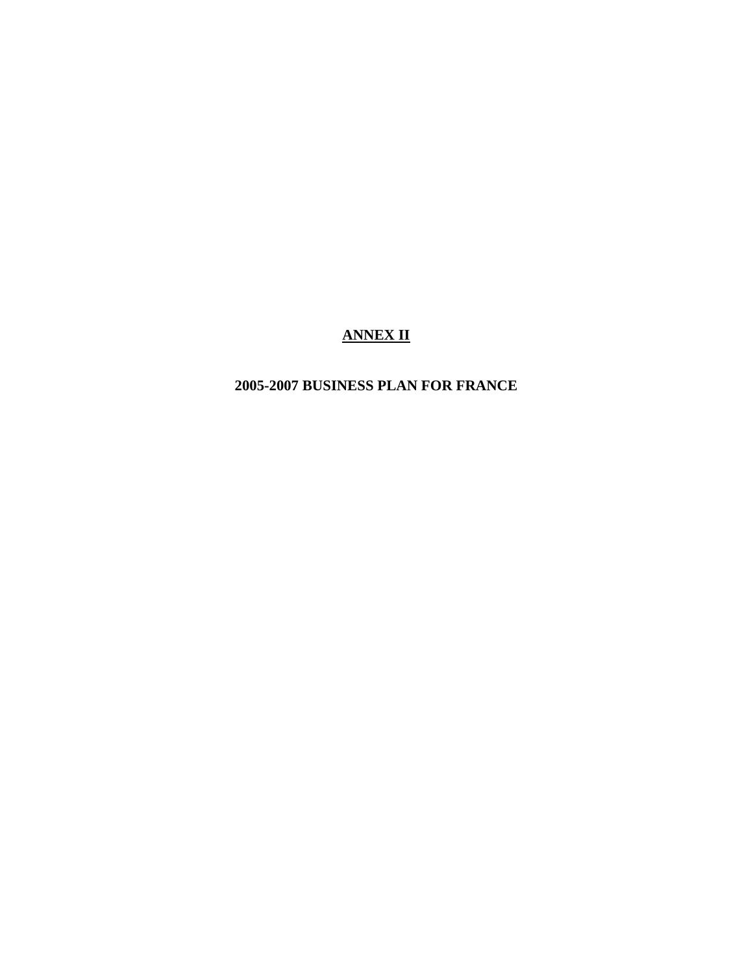# **ANNEX II**

# **2005-2007 BUSINESS PLAN FOR FRANCE**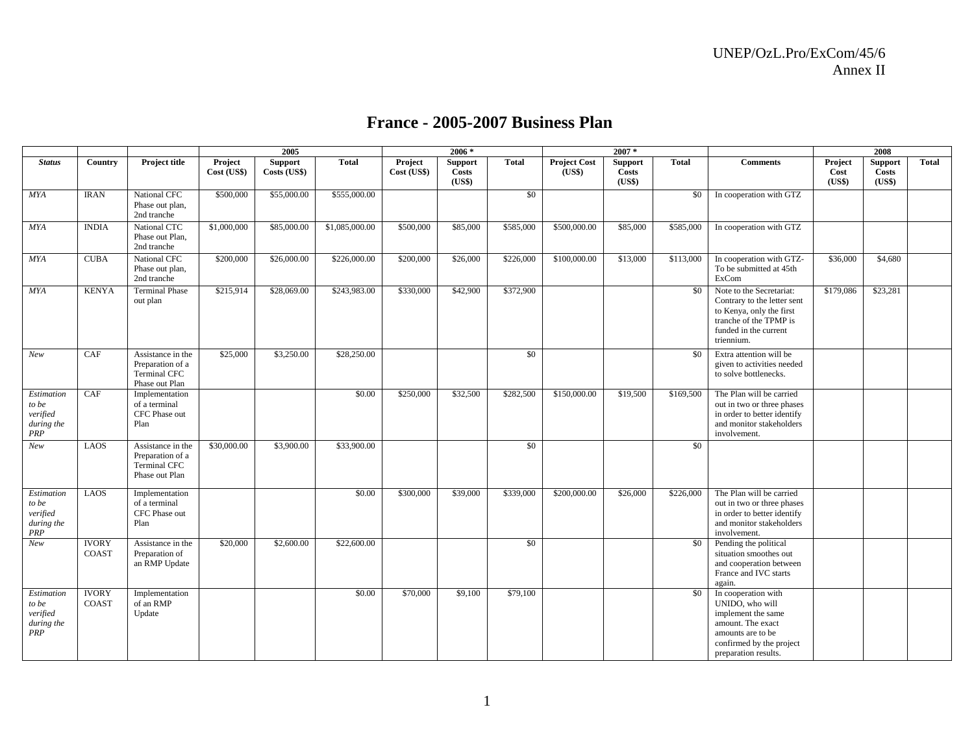|                                                             |                              |                                                                                |                        | 2005                           |                |                        | $2006 *$                                 |              |                               | $2007 *$                                 |              |                                                                                                                                                            |                           | 2008                              |       |
|-------------------------------------------------------------|------------------------------|--------------------------------------------------------------------------------|------------------------|--------------------------------|----------------|------------------------|------------------------------------------|--------------|-------------------------------|------------------------------------------|--------------|------------------------------------------------------------------------------------------------------------------------------------------------------------|---------------------------|-----------------------------------|-------|
| <b>Status</b>                                               | Country                      | <b>Project title</b>                                                           | Project<br>Cost (US\$) | <b>Support</b><br>Costs (US\$) | <b>Total</b>   | Project<br>Cost (US\$) | <b>Support</b><br><b>Costs</b><br>(US\$) | <b>Total</b> | <b>Project Cost</b><br>(US\$) | <b>Support</b><br><b>Costs</b><br>(US\$) | <b>Total</b> | <b>Comments</b>                                                                                                                                            | Project<br>Cost<br>(US\$) | <b>Support</b><br>Costs<br>(US\$) | Total |
| <b>MYA</b>                                                  | <b>IRAN</b>                  | National CFC<br>Phase out plan,<br>2nd tranche                                 | \$500,000              | \$55,000.00                    | \$555,000.00   |                        |                                          | \$0          |                               |                                          | \$0          | In cooperation with GTZ                                                                                                                                    |                           |                                   |       |
| <b>MYA</b>                                                  | <b>INDIA</b>                 | National CTC<br>Phase out Plan,<br>2nd tranche                                 | \$1,000,000            | \$85,000.00                    | \$1,085,000.00 | \$500,000              | \$85,000                                 | \$585,000    | \$500,000.00                  | \$85,000                                 | \$585,000    | In cooperation with GTZ                                                                                                                                    |                           |                                   |       |
| <b>MYA</b>                                                  | <b>CUBA</b>                  | National CFC<br>Phase out plan,<br>2nd tranche                                 | \$200,000              | \$26,000.00                    | \$226,000.00   | \$200,000              | \$26,000                                 | \$226,000    | \$100,000.00                  | \$13,000                                 | \$113,000    | In cooperation with GTZ-<br>To be submitted at 45th<br>ExCom                                                                                               | \$36,000                  | \$4,680                           |       |
| <b>MYA</b>                                                  | <b>KENYA</b>                 | <b>Terminal Phase</b><br>out plan                                              | \$215,914              | \$28,069.00                    | \$243,983.00   | \$330,000              | \$42,900                                 | \$372,900    |                               |                                          | \$0          | Note to the Secretariat:<br>Contrary to the letter sent<br>to Kenya, only the first<br>tranche of the TPMP is<br>funded in the current<br>triennium.       | \$179,086                 | \$23,281                          |       |
| New                                                         | CAF                          | Assistance in the<br>Preparation of a<br><b>Terminal CFC</b><br>Phase out Plan | \$25,000               | \$3,250.00                     | \$28,250.00    |                        |                                          | \$0          |                               |                                          | \$0          | Extra attention will be<br>given to activities needed<br>to solve bottlenecks.                                                                             |                           |                                   |       |
| Estimation<br>to be<br>verified<br>during the<br><b>PRP</b> | CAF                          | Implementation<br>of a terminal<br>CFC Phase out<br>Plan                       |                        |                                | \$0.00         | \$250,000              | \$32,500                                 | \$282,500    | \$150,000.00                  | \$19,500                                 | \$169,500    | The Plan will be carried<br>out in two or three phases<br>in order to better identify<br>and monitor stakeholders<br>involvement.                          |                           |                                   |       |
| New                                                         | LAOS                         | Assistance in the<br>Preparation of a<br><b>Terminal CFC</b><br>Phase out Plan | \$30,000.00            | \$3,900.00                     | \$33,900.00    |                        |                                          | \$0          |                               |                                          | \$0          |                                                                                                                                                            |                           |                                   |       |
| Estimation<br>to be<br>verified<br>during the<br>PRP        | <b>LAOS</b>                  | Implementation<br>of a terminal<br>CFC Phase out<br>Plan                       |                        |                                | \$0.00         | \$300,000              | \$39,000                                 | \$339,000    | \$200,000.00                  | \$26,000                                 | \$226,000    | The Plan will be carried<br>out in two or three phases<br>in order to better identify<br>and monitor stakeholders<br>involvement.                          |                           |                                   |       |
| New                                                         | <b>IVORY</b><br><b>COAST</b> | Assistance in the<br>Preparation of<br>an RMP Update                           | \$20,000               | \$2,600.00                     | \$22,600.00    |                        |                                          | \$0          |                               |                                          | \$0          | Pending the political<br>situation smoothes out<br>and cooperation between<br>France and IVC starts<br>again.                                              |                           |                                   |       |
| Estimation<br>to be<br>verified<br>during the<br>PRP        | <b>IVORY</b><br><b>COAST</b> | Implementation<br>of an RMP<br>Update                                          |                        |                                | \$0.00         | \$70,000               | \$9,100                                  | \$79,100     |                               |                                          | \$0          | In cooperation with<br>UNIDO, who will<br>implement the same<br>amount. The exact<br>amounts are to be<br>confirmed by the project<br>preparation results. |                           |                                   |       |

#### **France - 2005-2007 Business Plan**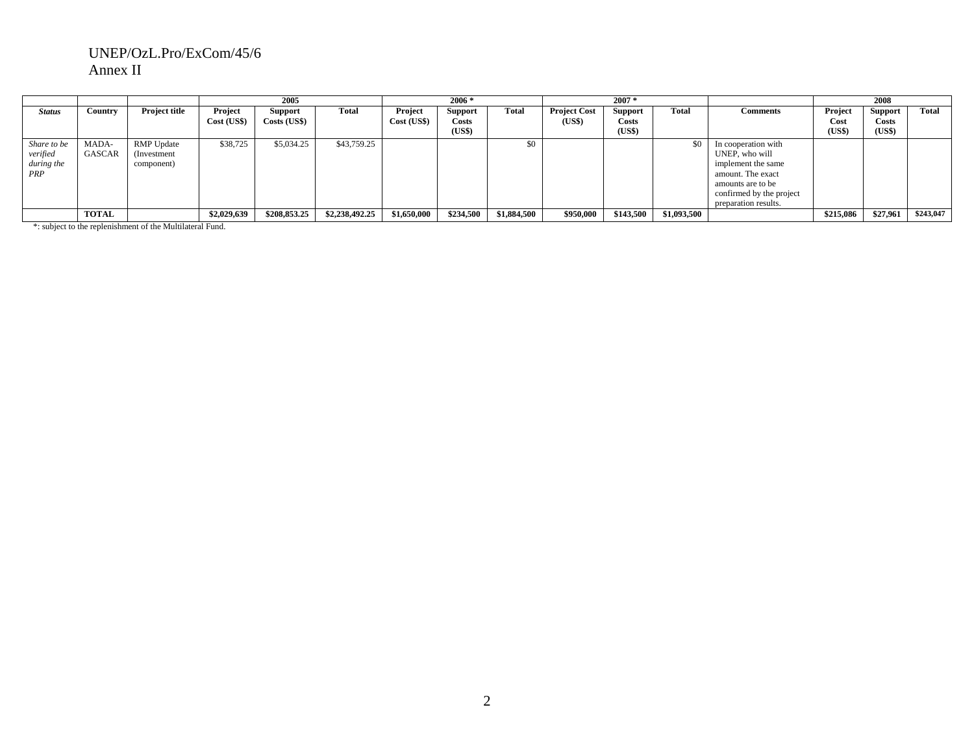#### UNEP/OzL.Pro/ExCom/45/6 Annex II

|                                              |                 |                                                 |                        | 2005                    |                |                        | $2006*$                                    |              |                               | $2007*$                           |             |                                                                                                                                                           |                           | 2008                              |           |
|----------------------------------------------|-----------------|-------------------------------------------------|------------------------|-------------------------|----------------|------------------------|--------------------------------------------|--------------|-------------------------------|-----------------------------------|-------------|-----------------------------------------------------------------------------------------------------------------------------------------------------------|---------------------------|-----------------------------------|-----------|
| <b>Status</b>                                | Country         | <b>Project title</b>                            | Project<br>Cost (US\$) | Support<br>Costs (US\$) | Total          | Project<br>Cost (US\$) | <b>Support</b><br>Costs<br>( <b>US\$</b> ) | <b>Total</b> | <b>Project Cost</b><br>(US\$) | Support<br><b>Costs</b><br>(US\$) | Total       | <b>Comments</b>                                                                                                                                           | Project<br>Cost<br>(US\$) | <b>Support</b><br>Costs<br>(US\$) | Total     |
| Share to be<br>verified<br>during the<br>PRP | MADA-<br>GASCAR | <b>RMP</b> Update<br>(Investment)<br>component) | \$38,725               | \$5,034.25              | \$43,759.25    |                        |                                            | \$0          |                               |                                   | \$0         | In cooperation with<br>UNEP, who will<br>implement the same<br>amount. The exact<br>amounts are to be<br>confirmed by the project<br>preparation results. |                           |                                   |           |
|                                              | <b>TOTAL</b>    |                                                 | \$2,029,639            | \$208,853.25            | \$2,238,492.25 | \$1,650,000            | \$234,500                                  | \$1,884,500  | \$950,000                     | \$143,500                         | \$1,093,500 |                                                                                                                                                           | \$215,086                 | \$27,961                          | \$243,047 |

\*: subject to the replenishment of the Multilateral Fund.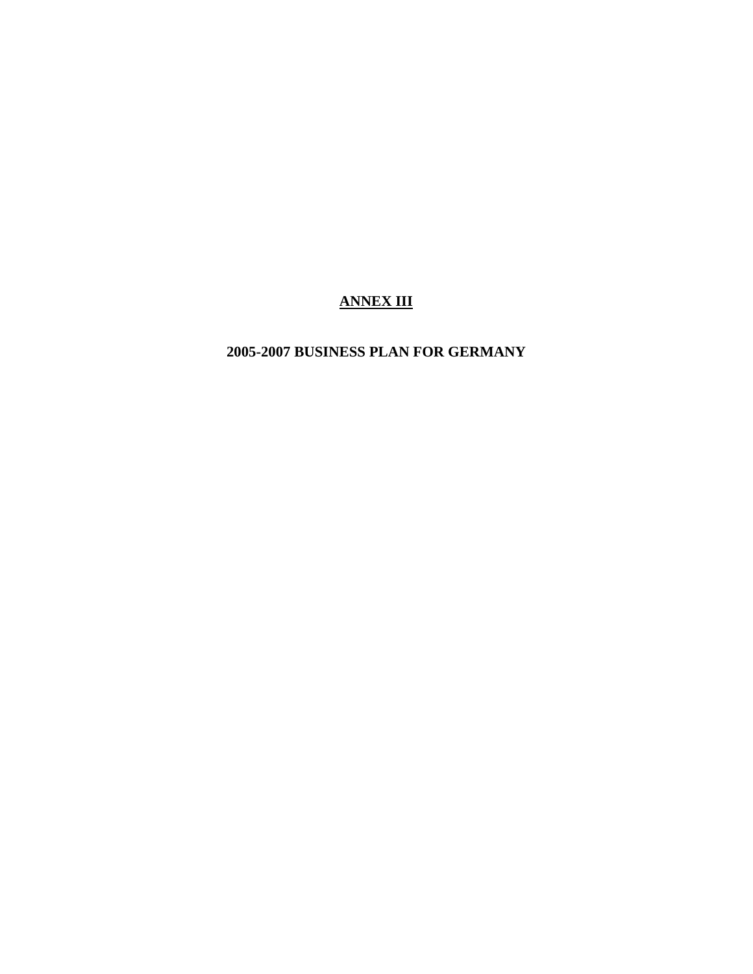# **ANNEX III**

# **2005-2007 BUSINESS PLAN FOR GERMANY**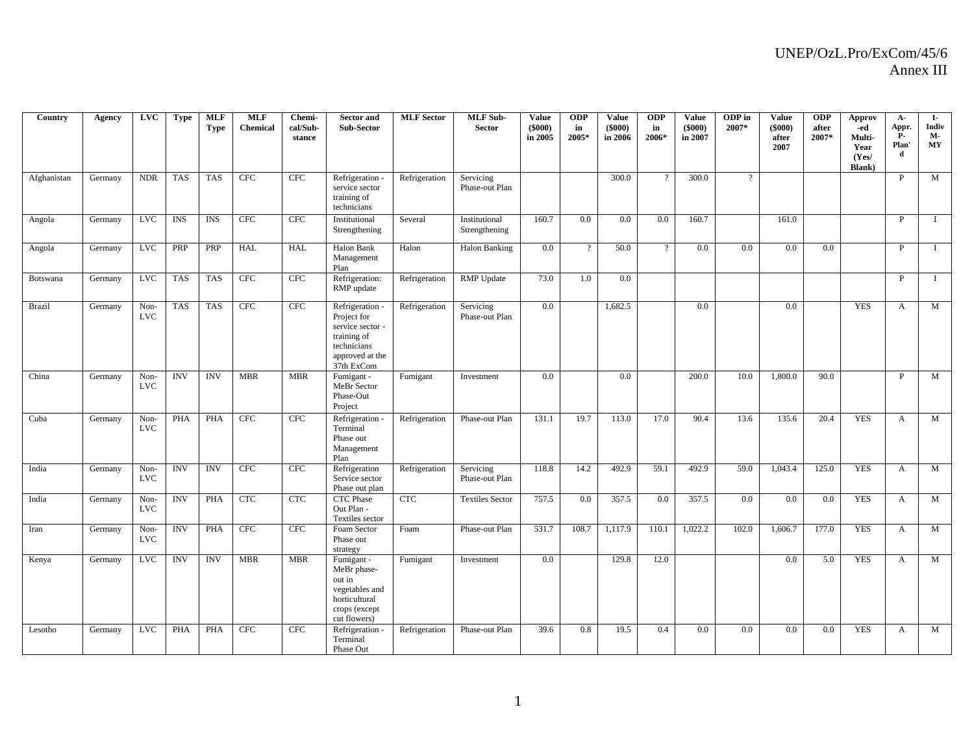| Country     | Agency  | <b>LVC</b>         | <b>Type</b> | <b>MLF</b><br><b>Type</b> | <b>MLF</b><br><b>Chemical</b> | Chemi-<br>cal/Sub-<br>stance | <b>Sector</b> and<br>Sub-Sector                                                                                   | <b>MLF</b> Sector | <b>MLF</b> Sub-<br><b>Sector</b> | <b>Value</b><br>$(\$000)$<br>in 2005 | <b>ODP</b><br>in<br>2005* | <b>Value</b><br>(\$000)<br>in 2006 | <b>ODP</b><br>in<br>2006* | <b>Value</b><br>(\$000)<br>in 2007 | ODP in<br>2007* | <b>Value</b><br>$($ \$000 $)$<br>after<br>2007 | <b>ODP</b><br>after<br>2007* | Approv<br>-ed<br>Multi-<br>Year<br>(Yes/<br><b>Blank</b> ) | $A -$<br>Appr.<br><b>P</b> -<br>Plan'<br>d | I-<br>Indiv<br>М-<br>$\bold{MY}$ |
|-------------|---------|--------------------|-------------|---------------------------|-------------------------------|------------------------------|-------------------------------------------------------------------------------------------------------------------|-------------------|----------------------------------|--------------------------------------|---------------------------|------------------------------------|---------------------------|------------------------------------|-----------------|------------------------------------------------|------------------------------|------------------------------------------------------------|--------------------------------------------|----------------------------------|
| Afghanistan | Germany | <b>NDR</b>         | <b>TAS</b>  | <b>TAS</b>                | <b>CFC</b>                    | <b>CFC</b>                   | Refrigeration -<br>service sector<br>training of<br>technicians                                                   | Refrigeration     | Servicing<br>Phase-out Plan      |                                      |                           | 300.0                              |                           | 300.0                              | $\gamma$        |                                                |                              |                                                            | P                                          | M                                |
| Angola      | Germany | <b>LVC</b>         | <b>INS</b>  | <b>INS</b>                | <b>CFC</b>                    | <b>CFC</b>                   | Institutional<br>Strengthening                                                                                    | Several           | Institutional<br>Strengthening   | 160.7                                | 0.0                       | 0.0                                | 0.0                       | 160.7                              |                 | 161.0                                          |                              |                                                            | P                                          | $\mathbf I$                      |
| Angola      | Germany | <b>LVC</b>         | PRP         | PRP                       | <b>HAL</b>                    | <b>HAL</b>                   | Halon Bank<br>Management<br>Plan                                                                                  | Halon             | Halon Banking                    | $0.0\,$                              | $\gamma$                  | 50.0                               | $\gamma$                  | 0.0                                | 0.0             | 0.0                                            | 0.0                          |                                                            | P                                          | $\mathbf{I}$                     |
| Botswana    | Germany | <b>LVC</b>         | <b>TAS</b>  | <b>TAS</b>                | CFC                           | CFC                          | Refrigeration:<br>RMP update                                                                                      | Refrigeration     | <b>RMP</b> Update                | 73.0                                 | 1.0                       | 0.0                                |                           |                                    |                 |                                                |                              |                                                            | P                                          | $\bf{I}$                         |
| Brazil      | Germany | Non-<br><b>LVC</b> | <b>TAS</b>  | <b>TAS</b>                | CFC                           | <b>CFC</b>                   | Refrigeration -<br>Project for<br>service sector -<br>training of<br>technicians<br>approved at the<br>37th ExCom | Refrigeration     | Servicing<br>Phase-out Plan      | $0.0\,$                              |                           | 1,682.5                            |                           | $0.0\,$                            |                 | 0.0                                            |                              | <b>YES</b>                                                 | A                                          | M                                |
| China       | Germany | Non-<br><b>LVC</b> | <b>INV</b>  | <b>INV</b>                | <b>MBR</b>                    | <b>MBR</b>                   | Fumigant -<br>MeBr Sector<br>Phase-Out<br>Project                                                                 | Fumigant          | Investment                       | $0.0\,$                              |                           | 0.0                                |                           | 200.0                              | 10.0            | 1,800.0                                        | 90.0                         |                                                            | P                                          | M                                |
| Cuba        | Germany | Non-<br><b>LVC</b> | <b>PHA</b>  | <b>PHA</b>                | CFC                           | <b>CFC</b>                   | Refrigeration -<br>Terminal<br>Phase out<br>Management<br>Plan                                                    | Refrigeration     | Phase-out Plan                   | 131.1                                | 19.7                      | 113.0                              | 17.0                      | 90.4                               | 13.6            | 135.6                                          | 20.4                         | <b>YES</b>                                                 | $\mathbf{A}$                               | M                                |
| India       | Germany | Non-<br><b>LVC</b> | <b>INV</b>  | <b>INV</b>                | CFC                           | <b>CFC</b>                   | Refrigeration<br>Service sector<br>Phase out plan                                                                 | Refrigeration     | Servicing<br>Phase-out Plan      | 118.8                                | 14.2                      | 492.9                              | 59.1                      | 492.9                              | 59.0            | 1,043.4                                        | 125.0                        | <b>YES</b>                                                 | $\mathbf{A}$                               | M                                |
| India       | Germany | Non-<br><b>LVC</b> | <b>INV</b>  | <b>PHA</b>                | <b>CTC</b>                    | <b>CTC</b>                   | <b>CTC</b> Phase<br>Out Plan -<br>Textiles sector                                                                 | <b>CTC</b>        | <b>Textiles Sector</b>           | 757.5                                | 0.0                       | 357.5                              | 0.0                       | 357.5                              | 0.0             | 0.0                                            | 0.0                          | <b>YES</b>                                                 | $\mathbf{A}$                               | M                                |
| Iran        | Germany | Non-<br><b>LVC</b> | <b>INV</b>  | PHA                       | CFC                           | <b>CFC</b>                   | Foam Sector<br>Phase out<br>strategy                                                                              | Foam              | Phase-out Plan                   | 531.7                                | 108.7                     | 1,117.9                            | 110.1                     | 1,022.2                            | 102.0           | 1,606.7                                        | 177.0                        | <b>YES</b>                                                 | $\mathbf{A}$                               | M                                |
| Kenya       | Germany | <b>LVC</b>         | <b>INV</b>  | <b>INV</b>                | <b>MBR</b>                    | <b>MBR</b>                   | Fumigant -<br>MeBr phase-<br>out in<br>vegetables and<br>horticultural<br>crops (except<br>cut flowers)           | Fumigant          | Investment                       | $0.0\,$                              |                           | 129.8                              | 12.0                      |                                    |                 | 0.0                                            | 5.0                          | <b>YES</b>                                                 | A                                          | M                                |
| Lesotho     | Germany | <b>LVC</b>         | <b>PHA</b>  | <b>PHA</b>                | <b>CFC</b>                    | <b>CFC</b>                   | Refrigeration -<br>Terminal<br>Phase Out                                                                          | Refrigeration     | Phase-out Plan                   | 39.6                                 | 0.8                       | 19.5                               | 0.4                       | 0.0                                | 0.0             | 0.0                                            | 0.0                          | <b>YES</b>                                                 | $\mathbf{A}$                               | M                                |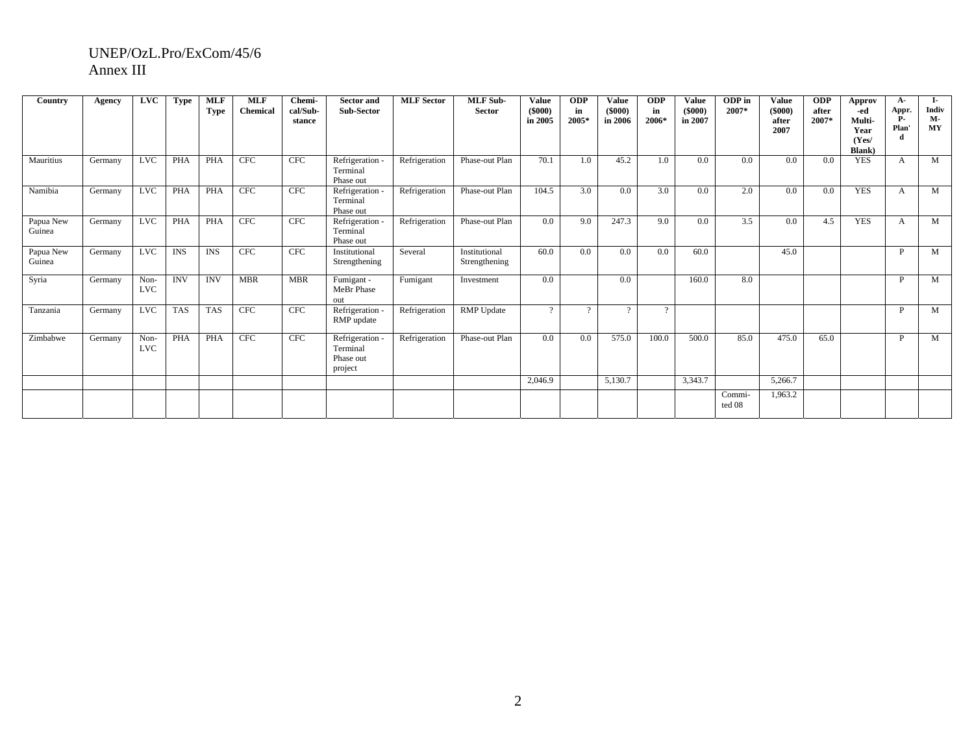#### UNEP/OzL.Pro/ExCom/45/6 Annex III

| Country             | Agency  | <b>LVC</b>         | <b>Type</b> | <b>MLF</b><br><b>Type</b> | <b>MLF</b><br>Chemical | Chemi-<br>cal/Sub-<br>stance | <b>Sector and</b><br>Sub-Sector                   | <b>MLF</b> Sector | <b>MLF</b> Sub-<br><b>Sector</b> | <b>Value</b><br>$($ \$000 $)$<br>in 2005 | <b>ODP</b><br>in<br>2005* | <b>Value</b><br>(5000)<br>in 2006 | <b>ODP</b><br>in<br>2006* | <b>Value</b><br>$(\$000)$<br>in 2007 | ODP in<br>2007*  | <b>Value</b><br>(5000)<br>after<br>2007 | <b>ODP</b><br>after<br>2007* | Approv<br>-ed<br>Multi-<br>Year<br>(Yes/<br><b>Blank</b> ) | A-<br>Appr.<br><b>P.</b><br>Plan | $\mathbf{I}$<br>Indiv<br>М-<br><b>MY</b> |
|---------------------|---------|--------------------|-------------|---------------------------|------------------------|------------------------------|---------------------------------------------------|-------------------|----------------------------------|------------------------------------------|---------------------------|-----------------------------------|---------------------------|--------------------------------------|------------------|-----------------------------------------|------------------------------|------------------------------------------------------------|----------------------------------|------------------------------------------|
| Mauritius           | Germany | LVC                | <b>PHA</b>  | <b>PHA</b>                | <b>CFC</b>             | <b>CFC</b>                   | Refrigeration -<br>Terminal<br>Phase out          | Refrigeration     | Phase-out Plan                   | 70.1                                     | 1.0                       | 45.2                              | 1.0                       | 0.0                                  | 0.0              | 0.0                                     | 0.0                          | <b>YES</b>                                                 | A                                | M                                        |
| Namibia             | Germany | <b>LVC</b>         | <b>PHA</b>  | <b>PHA</b>                | <b>CFC</b>             | <b>CFC</b>                   | Refrigeration<br>Terminal<br>Phase out            | Refrigeration     | Phase-out Plan                   | 104.5                                    | 3.0                       | 0.0                               | 3.0                       | 0.0                                  | 2.0              | 0.0                                     | 0.0                          | <b>YES</b>                                                 | A                                | M                                        |
| Papua New<br>Guinea | Germany | LVC                | PHA         | PHA                       | CFC                    | CFC                          | Refrigeration<br>Terminal<br>Phase out            | Refrigeration     | Phase-out Plan                   | 0.0                                      | 9.0                       | 247.3                             | 9.0                       | 0.0                                  | 3.5              | 0.0                                     | 4.5                          | <b>YES</b>                                                 | A                                | M                                        |
| Papua New<br>Guinea | Germany | <b>LVC</b>         | <b>INS</b>  | <b>INS</b>                | <b>CFC</b>             | <b>CFC</b>                   | Institutional<br>Strengthening                    | Several           | Institutional<br>Strengthening   | 60.0                                     | 0.0                       | 0.0                               | 0.0                       | 60.0                                 |                  | 45.0                                    |                              |                                                            | <b>D</b>                         | M                                        |
| Syria               | Germany | Non-<br><b>LVC</b> | <b>INV</b>  | <b>INV</b>                | <b>MBR</b>             | <b>MBR</b>                   | Fumigant -<br>MeBr Phase<br>out                   | Fumigant          | Investment                       | 0.0                                      |                           | 0.0                               |                           | 160.0                                | 8.0              |                                         |                              |                                                            | P                                | M                                        |
| Tanzania            | Germany | <b>LVC</b>         | <b>TAS</b>  | <b>TAS</b>                | <b>CFC</b>             | <b>CFC</b>                   | Refrigeration -<br>RMP update                     | Refrigeration     | <b>RMP</b> Update                | $\Omega$                                 | $\Omega$                  | $\Omega$                          | $\Omega$                  |                                      |                  |                                         |                              |                                                            | P                                | M                                        |
| Zimbabwe            | Germany | Non-<br><b>LVC</b> | <b>PHA</b>  | <b>PHA</b>                | CFC                    | CFC                          | Refrigeration<br>Terminal<br>Phase out<br>project | Refrigeration     | Phase-out Plan                   | 0.0                                      | 0.0                       | 575.0                             | 100.0                     | 500.0                                | 85.0             | 475.0                                   | 65.0                         |                                                            | P                                | M                                        |
|                     |         |                    |             |                           |                        |                              |                                                   |                   |                                  | 2,046.9                                  |                           | 5,130.7                           |                           | 3,343.7                              |                  | 5,266.7                                 |                              |                                                            |                                  |                                          |
|                     |         |                    |             |                           |                        |                              |                                                   |                   |                                  |                                          |                           |                                   |                           |                                      | Commi-<br>ted 08 | 1,963.2                                 |                              |                                                            |                                  |                                          |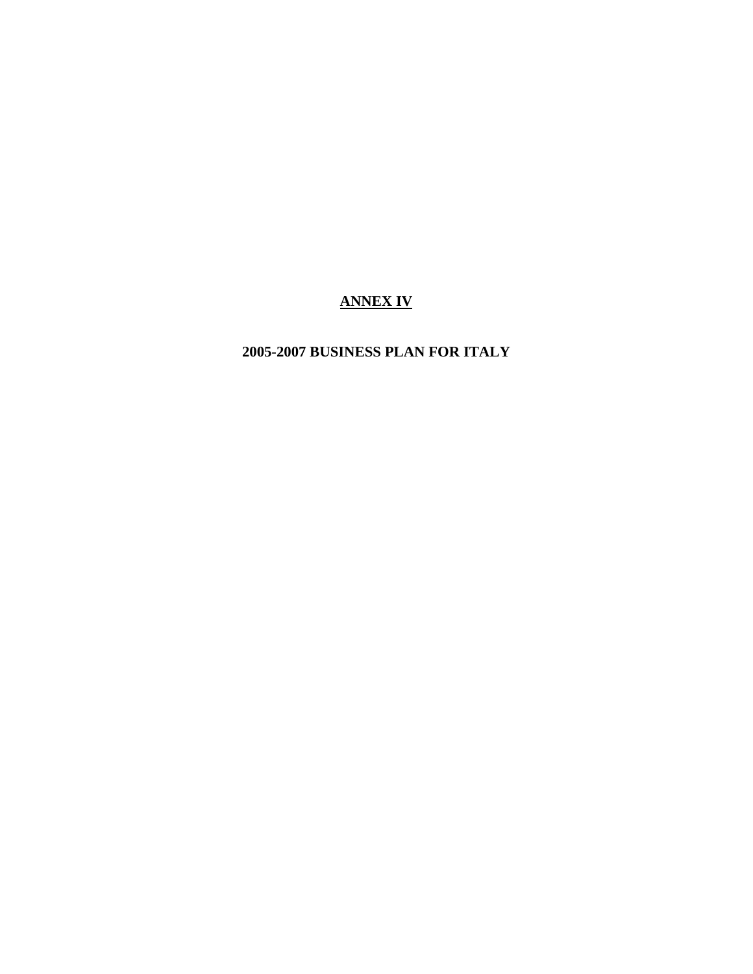# **ANNEX IV**

# **2005-2007 BUSINESS PLAN FOR ITALY**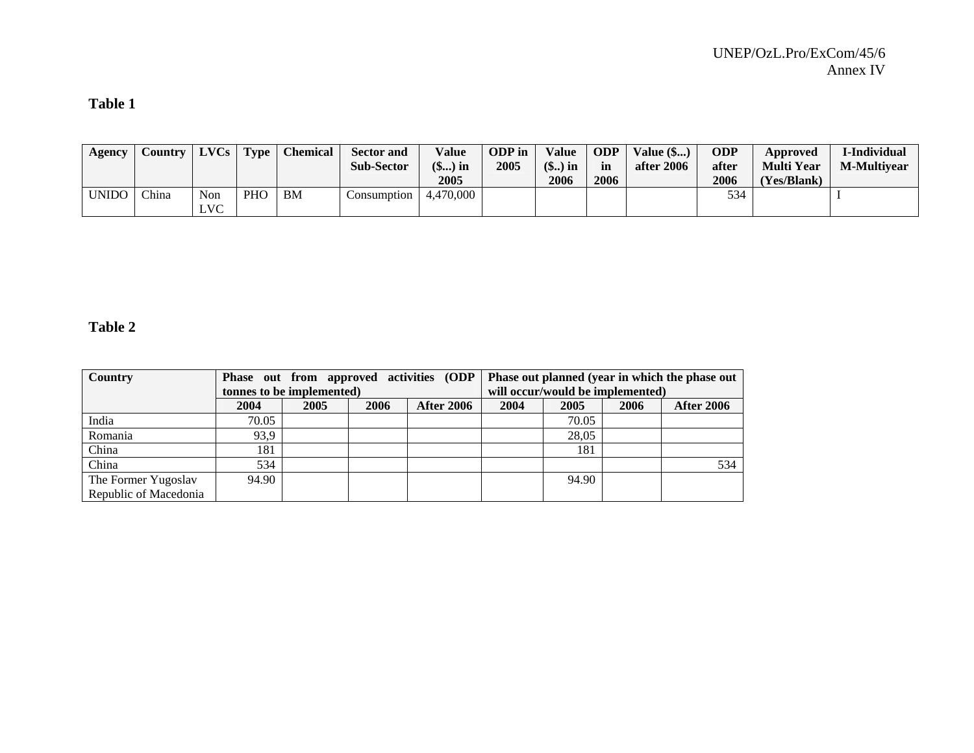#### **Table 1**

| Agency | <b>Country</b> | LVCs              | <b>Type</b> | <b>Chemical</b> | <b>Sector and</b><br><b>Sub-Sector</b> | Value<br>(\$) in | <b>ODP</b> in<br>2005 | <b>Value</b><br>$(\$)$ in | <b>ODP</b><br>in | <b>Value</b> (\$)<br>after 2006 | ODP<br>after | Approved<br><b>Multi Year</b> | I-Individual<br><b>M-Multivear</b> |
|--------|----------------|-------------------|-------------|-----------------|----------------------------------------|------------------|-----------------------|---------------------------|------------------|---------------------------------|--------------|-------------------------------|------------------------------------|
|        |                |                   |             |                 |                                        | 2005             |                       | 2006                      | 2006             |                                 | 2006         | (Yes/Blank)                   |                                    |
| UNIDO  | China          | Non<br><b>LVC</b> | PHO         | <b>BM</b>       | Consumption                            | 4,470,000        |                       |                           |                  |                                 | 534          |                               |                                    |

#### **Table 2**

| Country               |       |                           |      | Phase out from approved activities (ODP |      |                                  |      | Phase out planned (year in which the phase out |
|-----------------------|-------|---------------------------|------|-----------------------------------------|------|----------------------------------|------|------------------------------------------------|
|                       |       | tonnes to be implemented) |      |                                         |      | will occur/would be implemented) |      |                                                |
|                       | 2004  | 2005                      | 2006 | <b>After 2006</b>                       | 2004 | 2005                             | 2006 | <b>After 2006</b>                              |
| India                 | 70.05 |                           |      |                                         |      | 70.05                            |      |                                                |
| Romania               | 93,9  |                           |      |                                         |      | 28,05                            |      |                                                |
| China                 | 181   |                           |      |                                         |      | 181                              |      |                                                |
| China                 | 534   |                           |      |                                         |      |                                  |      | 534                                            |
| The Former Yugoslav   | 94.90 |                           |      |                                         |      | 94.90                            |      |                                                |
| Republic of Macedonia |       |                           |      |                                         |      |                                  |      |                                                |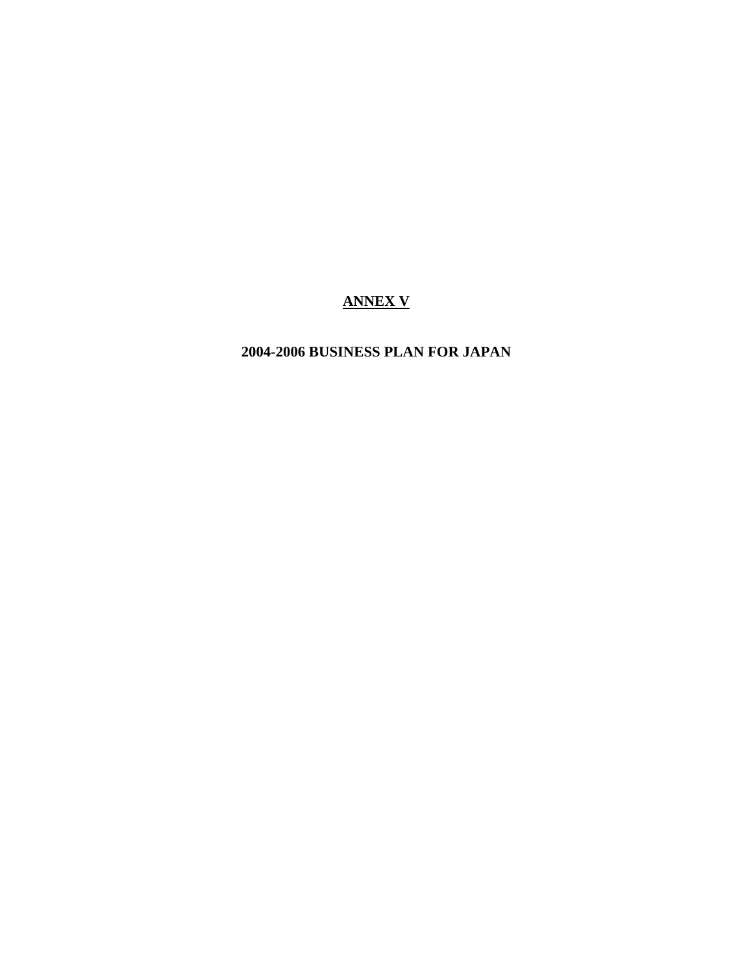# **ANNEX V**

# **2004-2006 BUSINESS PLAN FOR JAPAN**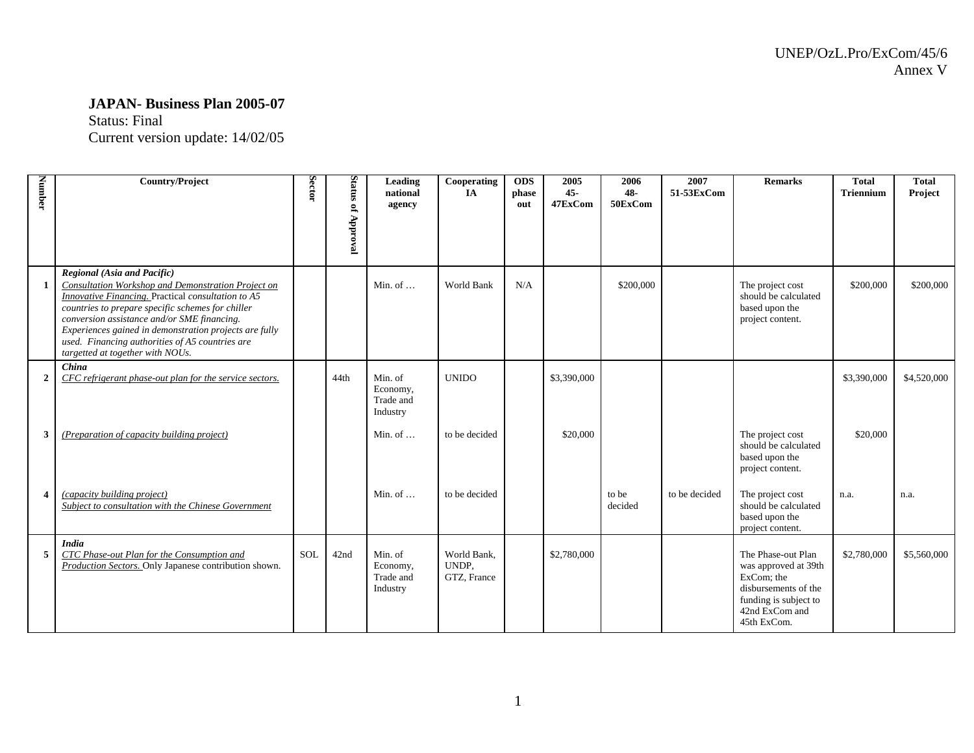#### **JAPAN- Business Plan 2005-07**

Status: Final

Current version update: 14/02/05

| Number                  | <b>Country/Project</b>                                                                                                                                                                                                                                                                                                                                                                       | Sector     | Status<br>of Approval | Leading<br>national<br>agency                | Cooperating<br><b>IA</b>            | <b>ODS</b><br>phase<br>out | 2005<br>$45 -$<br>47ExCom | 2006<br>48-<br>50ExCom | 2007<br>51-53ExCom | <b>Remarks</b>                                                                                                                             | <b>Total</b><br><b>Triennium</b> | <b>Total</b><br>Project |
|-------------------------|----------------------------------------------------------------------------------------------------------------------------------------------------------------------------------------------------------------------------------------------------------------------------------------------------------------------------------------------------------------------------------------------|------------|-----------------------|----------------------------------------------|-------------------------------------|----------------------------|---------------------------|------------------------|--------------------|--------------------------------------------------------------------------------------------------------------------------------------------|----------------------------------|-------------------------|
| $\mathbf{1}$            | Regional (Asia and Pacific)<br>Consultation Workshop and Demonstration Project on<br>Innovative Financing. Practical consultation to A5<br>countries to prepare specific schemes for chiller<br>conversion assistance and/or SME financing.<br>Experiences gained in demonstration projects are fully<br>used. Financing authorities of A5 countries are<br>targetted at together with NOUs. |            |                       | Min. of $\dots$                              | World Bank                          | N/A                        |                           | \$200,000              |                    | The project cost<br>should be calculated<br>based upon the<br>project content.                                                             | \$200,000                        | \$200,000               |
| $\overline{2}$          | China<br>CFC refrigerant phase-out plan for the service sectors.                                                                                                                                                                                                                                                                                                                             |            | 44th                  | Min. of<br>Economy,<br>Trade and<br>Industry | <b>UNIDO</b>                        |                            | \$3,390,000               |                        |                    |                                                                                                                                            | \$3,390,000                      | \$4,520,000             |
| 3                       | (Preparation of capacity building project)                                                                                                                                                                                                                                                                                                                                                   |            |                       | Min. of $\dots$                              | to be decided                       |                            | \$20,000                  |                        |                    | The project cost<br>should be calculated<br>based upon the<br>project content.                                                             | \$20,000                         |                         |
| $\overline{\mathbf{4}}$ | (capacity building project)<br>Subject to consultation with the Chinese Government                                                                                                                                                                                                                                                                                                           |            |                       | Min. of $\dots$                              | to be decided                       |                            |                           | to be<br>decided       | to be decided      | The project cost<br>should be calculated<br>based upon the<br>project content.                                                             | n.a.                             | n.a.                    |
| 5                       | <b>India</b><br>CTC Phase-out Plan for the Consumption and<br>Production Sectors. Only Japanese contribution shown.                                                                                                                                                                                                                                                                          | <b>SOL</b> | 42nd                  | Min. of<br>Economy,<br>Trade and<br>Industry | World Bank.<br>UNDP,<br>GTZ, France |                            | \$2,780,000               |                        |                    | The Phase-out Plan<br>was approved at 39th<br>ExCom; the<br>disbursements of the<br>funding is subject to<br>42nd ExCom and<br>45th ExCom. | \$2,780,000                      | \$5,560,000             |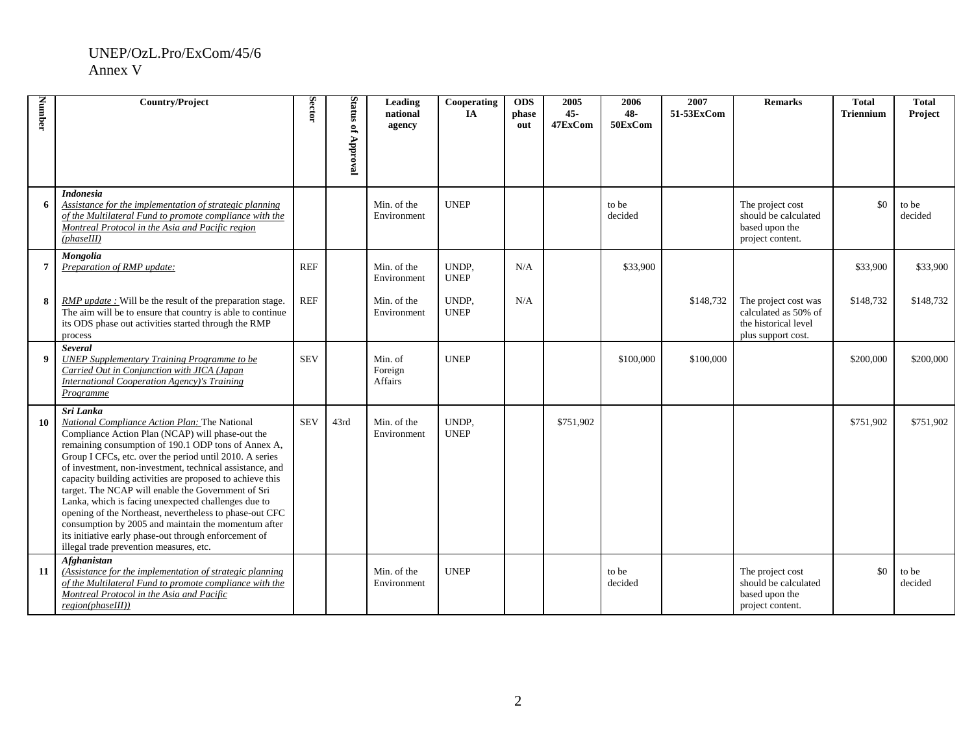#### UNEP/OzL.Pro/ExCom/45/6 Annex V

| Number           | <b>Country/Project</b>                                                                                                                                                                                                                                                                                                                                                                                                                                                                                                                                                                                                                                                                       | Sector     | Status of Approval | Leading<br>national<br>agency        | Cooperating<br>IA    | <b>ODS</b><br>phase<br>out | 2005<br>$45 -$<br>47ExCom | 2006<br>48-<br>50ExCom | 2007<br>51-53ExCom | <b>Remarks</b>                                                                             | <b>Total</b><br><b>Triennium</b> | <b>Total</b><br>Project |
|------------------|----------------------------------------------------------------------------------------------------------------------------------------------------------------------------------------------------------------------------------------------------------------------------------------------------------------------------------------------------------------------------------------------------------------------------------------------------------------------------------------------------------------------------------------------------------------------------------------------------------------------------------------------------------------------------------------------|------------|--------------------|--------------------------------------|----------------------|----------------------------|---------------------------|------------------------|--------------------|--------------------------------------------------------------------------------------------|----------------------------------|-------------------------|
| 6                | <b>Indonesia</b><br>Assistance for the implementation of strategic planning<br>of the Multilateral Fund to promote compliance with the<br>Montreal Protocol in the Asia and Pacific region<br>(phase III)                                                                                                                                                                                                                                                                                                                                                                                                                                                                                    |            |                    | Min. of the<br>Environment           | <b>UNEP</b>          |                            |                           | to be<br>decided       |                    | The project cost<br>should be calculated<br>based upon the<br>project content.             | \$0                              | to be<br>decided        |
| $\overline{7}$   | Mongolia<br>Preparation of RMP update:                                                                                                                                                                                                                                                                                                                                                                                                                                                                                                                                                                                                                                                       | <b>REF</b> |                    | Min. of the<br>Environment           | UNDP,<br><b>UNEP</b> | N/A                        |                           | \$33,900               |                    |                                                                                            | \$33,900                         | \$33,900                |
| 8                | <i>RMP update</i> : Will be the result of the preparation stage.<br>The aim will be to ensure that country is able to continue<br>its ODS phase out activities started through the RMP<br>process                                                                                                                                                                                                                                                                                                                                                                                                                                                                                            | <b>REF</b> |                    | Min. of the<br>Environment           | UNDP,<br><b>UNEP</b> | N/A                        |                           |                        | \$148,732          | The project cost was<br>calculated as 50% of<br>the historical level<br>plus support cost. | \$148,732                        | \$148.732               |
| $\boldsymbol{9}$ | <b>Several</b><br><b>UNEP Supplementary Training Programme to be</b><br>Carried Out in Conjunction with JICA (Japan<br>International Cooperation Agency)'s Training<br>Programme                                                                                                                                                                                                                                                                                                                                                                                                                                                                                                             | <b>SEV</b> |                    | Min. of<br>Foreign<br><b>Affairs</b> | <b>UNEP</b>          |                            |                           | \$100,000              | \$100,000          |                                                                                            | \$200,000                        | \$200,000               |
| 10               | Sri Lanka<br>National Compliance Action Plan: The National<br>Compliance Action Plan (NCAP) will phase-out the<br>remaining consumption of 190.1 ODP tons of Annex A,<br>Group I CFCs, etc. over the period until 2010. A series<br>of investment, non-investment, technical assistance, and<br>capacity building activities are proposed to achieve this<br>target. The NCAP will enable the Government of Sri<br>Lanka, which is facing unexpected challenges due to<br>opening of the Northeast, nevertheless to phase-out CFC<br>consumption by 2005 and maintain the momentum after<br>its initiative early phase-out through enforcement of<br>illegal trade prevention measures, etc. | <b>SEV</b> | 43rd               | Min. of the<br>Environment           | UNDP,<br><b>UNEP</b> |                            | \$751,902                 |                        |                    |                                                                                            | \$751,902                        | \$751,902               |
| 11               | <b>Afghanistan</b><br>(Assistance for the implementation of strategic planning<br>of the Multilateral Fund to promote compliance with the<br>Montreal Protocol in the Asia and Pacific<br>region(phaseIII))                                                                                                                                                                                                                                                                                                                                                                                                                                                                                  |            |                    | Min. of the<br>Environment           | <b>UNEP</b>          |                            |                           | to be<br>decided       |                    | The project cost<br>should be calculated<br>based upon the<br>project content.             | \$0                              | to be<br>decided        |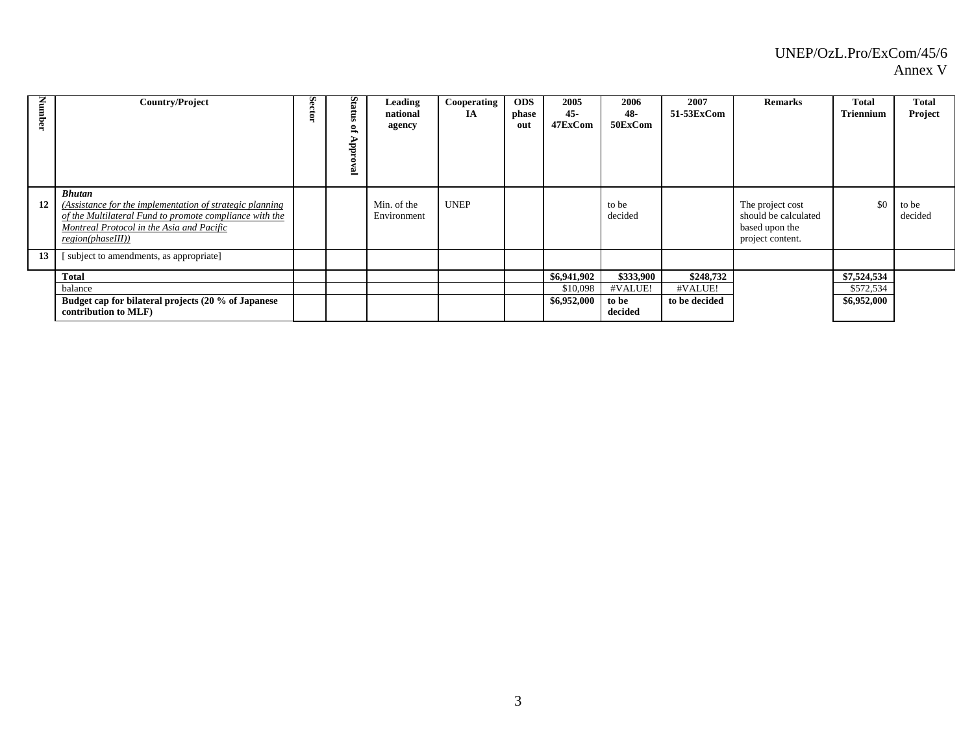| Number | <b>Country/Project</b>                                                                                                                                                                                 | Sector | Status<br>S,<br>ੜ<br>É | Leading<br>national<br>agency | Cooperating<br>IA | <b>ODS</b><br>phase<br>out | 2005<br>45-<br>47ExCom | 2006<br>48-<br>50ExCom | 2007<br>51-53ExCom | <b>Remarks</b>                                                                 | <b>Total</b><br>Triennium | <b>Total</b><br>Project |
|--------|--------------------------------------------------------------------------------------------------------------------------------------------------------------------------------------------------------|--------|------------------------|-------------------------------|-------------------|----------------------------|------------------------|------------------------|--------------------|--------------------------------------------------------------------------------|---------------------------|-------------------------|
| 12     | <b>Bhutan</b><br>(Assistance for the implementation of strategic planning<br>of the Multilateral Fund to promote compliance with the<br>Montreal Protocol in the Asia and Pacific<br>region(phaseIII)) |        |                        | Min. of the<br>Environment    | <b>UNEP</b>       |                            |                        | to be<br>decided       |                    | The project cost<br>should be calculated<br>based upon the<br>project content. | \$0                       | to be<br>decided        |
| 13     | [ subject to amendments, as appropriate]                                                                                                                                                               |        |                        |                               |                   |                            |                        |                        |                    |                                                                                |                           |                         |
|        | <b>Total</b>                                                                                                                                                                                           |        |                        |                               |                   |                            | \$6,941,902            | \$333,900              | \$248,732          |                                                                                | \$7,524,534               |                         |
|        | balance                                                                                                                                                                                                |        |                        |                               |                   |                            | \$10,098               | #VALUE!                | #VALUE!            |                                                                                | \$572,534                 |                         |
|        | Budget cap for bilateral projects (20 % of Japanese<br>contribution to MLF)                                                                                                                            |        |                        |                               |                   |                            | \$6,952,000            | to be<br>decided       | to be decided      |                                                                                | \$6,952,000               |                         |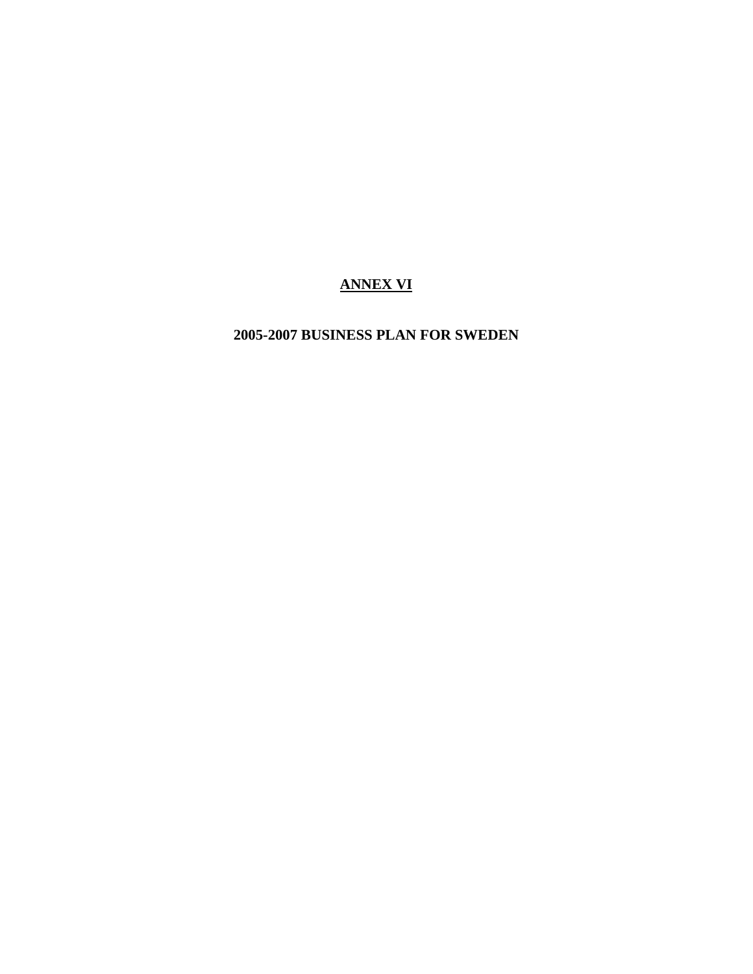# **ANNEX VI**

# **2005-2007 BUSINESS PLAN FOR SWEDEN**